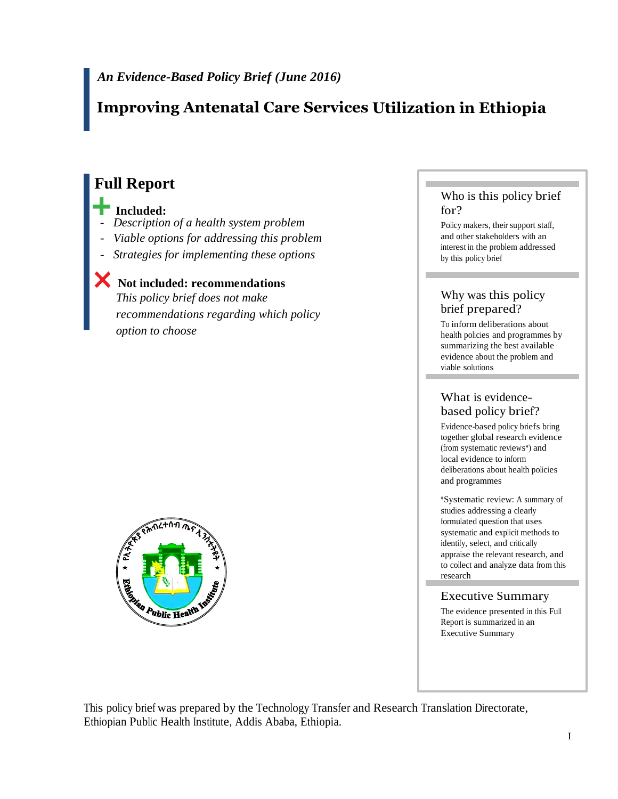# **Improving Antenatal Care Services Utilization in Ethiopia**

# **Full Report**

#### **Included:**

- *Description of a health system problem*
- *Viable options for addressing this problem*
- *Strategies for implementing these options*

# **Not included: recommendations**

*This policy brief does not make recommendations regarding which policy option to choose*



#### Who is this policy brief for?

Policy makers, their support staff, and other stakeholders with an interest in the problem addressed by this policy brief

#### Why was this policy brief prepared?

To inform deliberations about health policies and programmes by summarizing the best available evidence about the problem and viable solutions

## What is evidencebased policy brief?

Evidence-based policy briefs bring together global research evidence (from systematic reviews\*) and local evidence to inform deliberations about health policies and programmes

\*Systematic review: A summary of studies addressing a clearly formulated question that uses systematic and explicit methods to identify, select, and critically appraise the relevant research, and to collect and analyze data from this research

## Executive Summary

The evidence presented in this Full Report is summarized in an Executive Summary

This policy brief was prepared by the Technology Transfer and Research Translation Directorate, Ethiopian Public Health Institute, Addis Ababa, Ethiopia.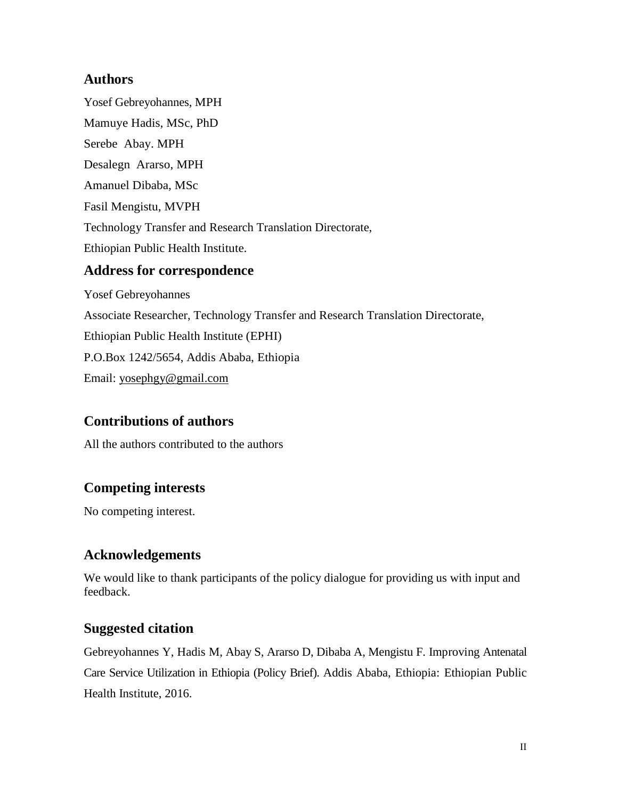## **Authors**

Yosef Gebreyohannes, MPH Mamuye Hadis, MSc, PhD Serebe Abay. MPH Desalegn Ararso, MPH Amanuel Dibaba, MSc Fasil Mengistu, MVPH Technology Transfer and Research Translation Directorate, Ethiopian Public Health Institute.

## **Address for correspondence**

Yosef Gebreyohannes Associate Researcher, Technology Transfer and Research Translation Directorate, Ethiopian Public Health Institute (EPHI) P.O.Box 1242/5654, Addis Ababa, Ethiopia Email: [yosephgy@gmail.com](mailto:yosephgy@gmail.com)

# **Contributions of authors**

All the authors contributed to the authors

# **Competing interests**

No competing interest.

# **Acknowledgements**

We would like to thank participants of the policy dialogue for providing us with input and feedback.

# **Suggested citation**

Gebreyohannes Y, Hadis M, Abay S, Ararso D, Dibaba A, Mengistu F. Improving Antenatal Care Service Utilization in Ethiopia (Policy Brief). Addis Ababa, Ethiopia: Ethiopian Public Health Institute, 2016.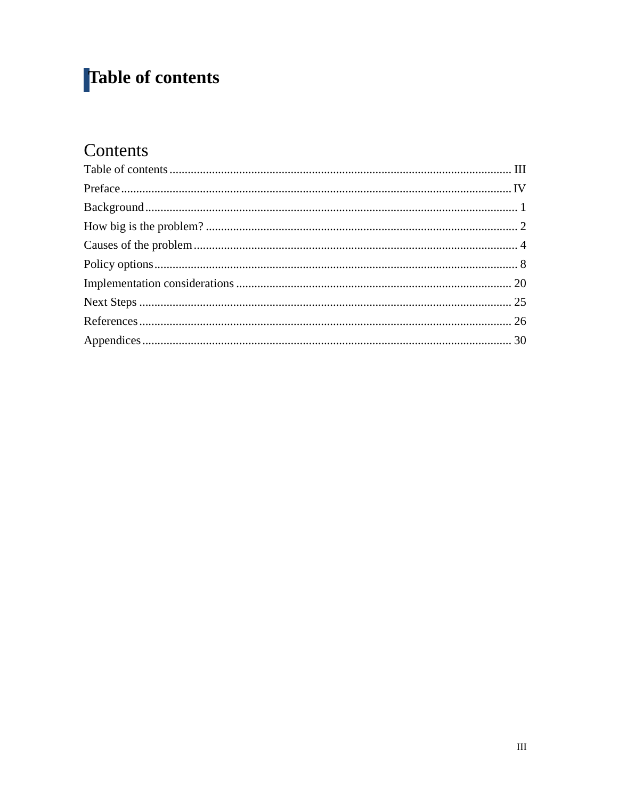# <span id="page-2-0"></span>Table of contents

# Contents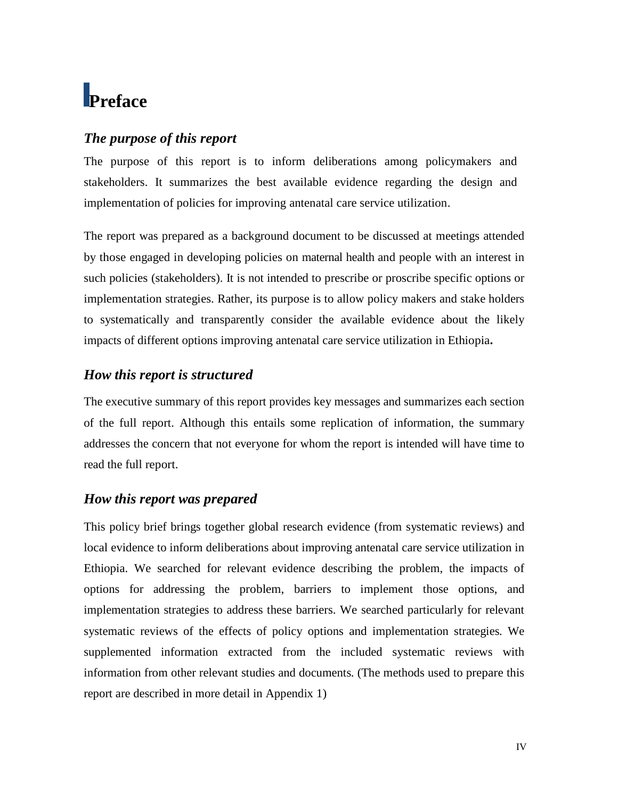# <span id="page-3-0"></span>**Preface**

## *The purpose of this report*

The purpose of this report is to inform deliberations among policymakers and stakeholders. It summarizes the best available evidence regarding the design and implementation of policies for improving antenatal care service utilization.

The report was prepared as a background document to be discussed at meetings attended by those engaged in developing policies on maternal health and people with an interest in such policies (stakeholders). It is not intended to prescribe or proscribe specific options or implementation strategies. Rather, its purpose is to allow policy makers and stake holders to systematically and transparently consider the available evidence about the likely impacts of different options improving antenatal care service utilization in Ethiopia**.**

## *How this report is structured*

The executive summary of this report provides key messages and summarizes each section of the full report. Although this entails some replication of information, the summary addresses the concern that not everyone for whom the report is intended will have time to read the full report.

# *How this report was prepared*

This policy brief brings together global research evidence (from systematic reviews) and local evidence to inform deliberations about improving antenatal care service utilization in Ethiopia. We searched for relevant evidence describing the problem, the impacts of options for addressing the problem, barriers to implement those options, and implementation strategies to address these barriers. We searched particularly for relevant systematic reviews of the effects of policy options and implementation strategies. We supplemented information extracted from the included systematic reviews with information from other relevant studies and documents. (The methods used to prepare this report are described in more detail in Appendix 1)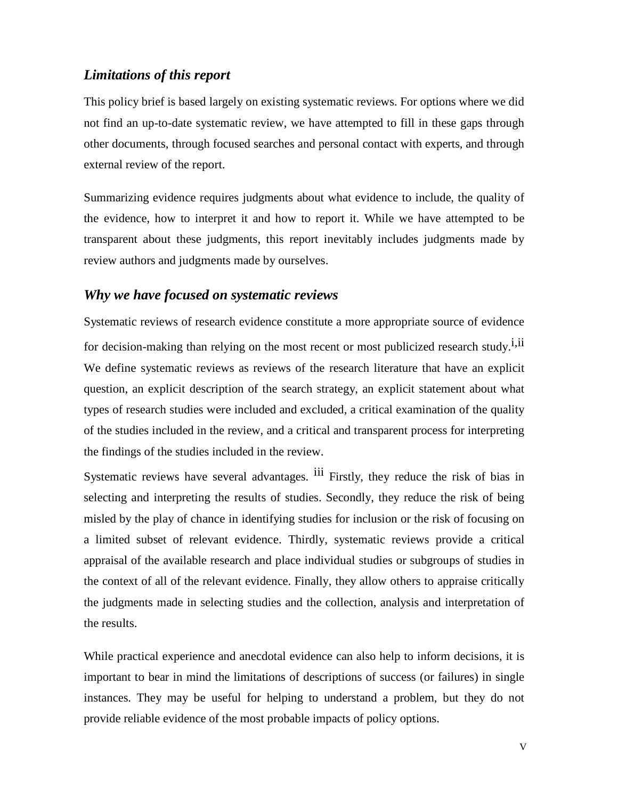## *Limitations of this report*

This policy brief is based largely on existing systematic reviews. For options where we did not find an up-to-date systematic review, we have attempted to fill in these gaps through other documents, through focused searches and personal contact with experts, and through external review of the report.

Summarizing evidence requires judgments about what evidence to include, the quality of the evidence, how to interpret it and how to report it. While we have attempted to be transparent about these judgments, this report inevitably includes judgments made by review authors and judgments made by ourselves.

#### *Why we have focused on systematic reviews*

Systematic reviews of research evidence constitute a more appropriate source of evidence for decision-making than relying on the most recent or most publicized research study.<sup>i,ii</sup> We define systematic reviews as reviews of the research literature that have an explicit question, an explicit description of the search strategy, an explicit statement about what types of research studies were included and excluded, a critical examination of the quality of the studies included in the review, and a critical and transparent process for interpreting the findings of the studies included in the review.

Systematic reviews have several advantages. <sup>iii</sup> Firstly, they reduce the risk of bias in selecting and interpreting the results of studies. Secondly, they reduce the risk of being misled by the play of chance in identifying studies for inclusion or the risk of focusing on a limited subset of relevant evidence. Thirdly, systematic reviews provide a critical appraisal of the available research and place individual studies or subgroups of studies in the context of all of the relevant evidence. Finally, they allow others to appraise critically the judgments made in selecting studies and the collection, analysis and interpretation of the results.

While practical experience and anecdotal evidence can also help to inform decisions, it is important to bear in mind the limitations of descriptions of success (or failures) in single instances. They may be useful for helping to understand a problem, but they do not provide reliable evidence of the most probable impacts of policy options.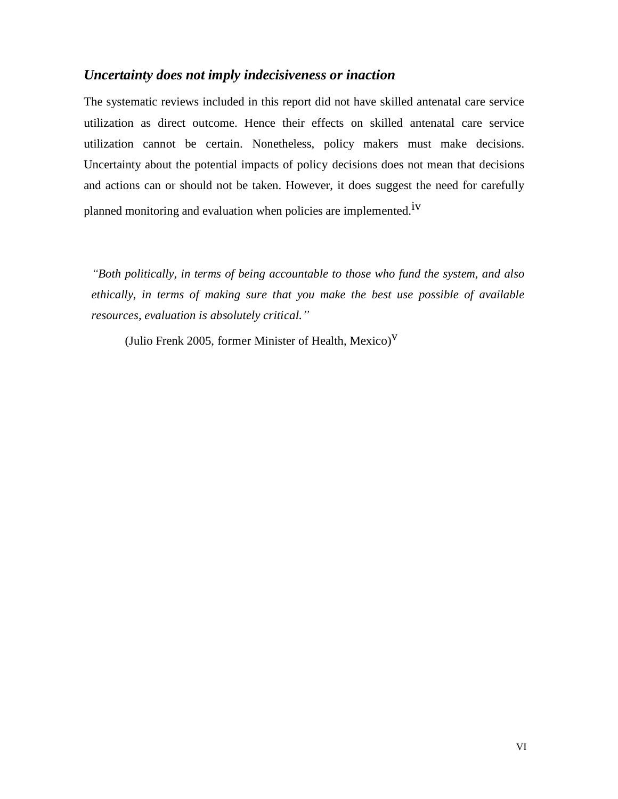## *Uncertainty does not imply indecisiveness or inaction*

The systematic reviews included in this report did not have skilled antenatal care service utilization as direct outcome. Hence their effects on skilled antenatal care service utilization cannot be certain. Nonetheless, policy makers must make decisions. Uncertainty about the potential impacts of policy decisions does not mean that decisions and actions can or should not be taken. However, it does suggest the need for carefully planned monitoring and evaluation when policies are implemented.<sup>1V</sup>

*"Both politically, in terms of being accountable to those who fund the system, and also ethically, in terms of making sure that you make the best use possible of available resources, evaluation is absolutely critical."*

(Julio Frenk 2005, former Minister of Health, Mexico)<sup>V</sup>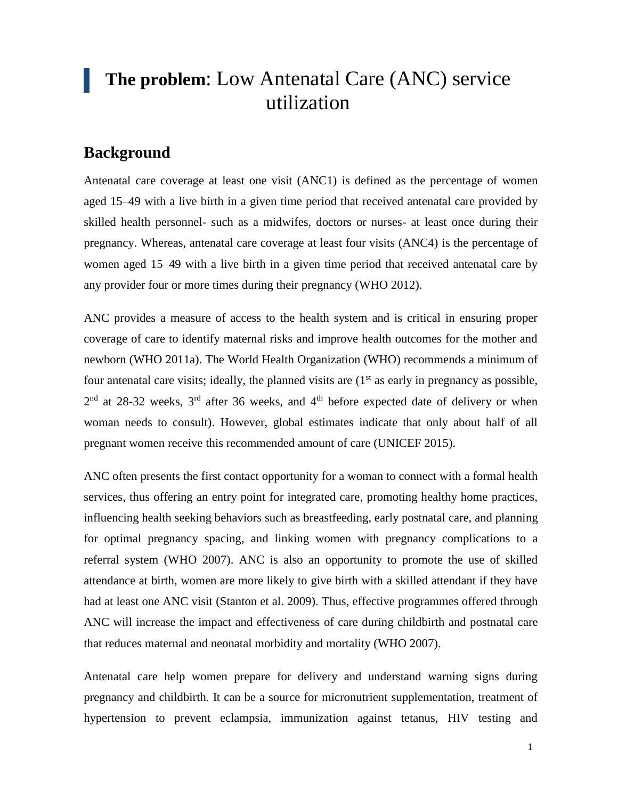# **The problem**: Low Antenatal Care (ANC) service utilization

# <span id="page-6-0"></span>**Background**

Antenatal care coverage at least one visit (ANC1) is defined as the percentage of women aged 15–49 with a live birth in a given time period that received antenatal care provided by skilled health personnel- such as a midwifes, doctors or nurses- at least once during their pregnancy. Whereas, antenatal care coverage at least four visits (ANC4) is the percentage of women aged 15–49 with a live birth in a given time period that received antenatal care by any provider four or more times during their pregnancy (WHO 2012).

ANC provides a measure of access to the health system and is critical in ensuring proper coverage of care to identify maternal risks and improve health outcomes for the mother and newborn (WHO 2011a). The World Health Organization (WHO) recommends a minimum of four antenatal care visits; ideally, the planned visits are  $(1<sup>st</sup>$  as early in pregnancy as possible,  $2<sup>nd</sup>$  at 28-32 weeks,  $3<sup>rd</sup>$  after 36 weeks, and 4<sup>th</sup> before expected date of delivery or when woman needs to consult). However, global estimates indicate that only about half of all pregnant women receive this recommended amount of care (UNICEF 2015).

ANC often presents the first contact opportunity for a woman to connect with a formal health services, thus offering an entry point for integrated care, promoting healthy home practices, influencing health seeking behaviors such as breastfeeding, early postnatal care, and planning for optimal pregnancy spacing, and linking women with pregnancy complications to a referral system (WHO 2007). ANC is also an opportunity to promote the use of skilled attendance at birth, women are more likely to give birth with a skilled attendant if they have had at least one ANC visit (Stanton et al. 2009). Thus, effective programmes offered through ANC will increase the impact and effectiveness of care during childbirth and postnatal care that reduces maternal and neonatal morbidity and mortality (WHO 2007).

Antenatal care help women prepare for delivery and understand warning signs during pregnancy and childbirth. It can be a source for micronutrient supplementation, treatment of hypertension to prevent eclampsia, immunization against tetanus, HIV testing and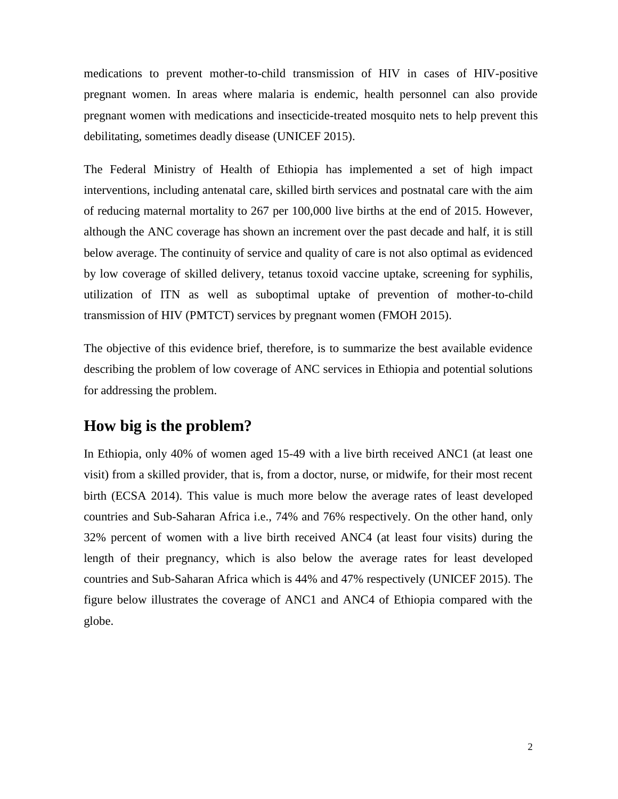medications to prevent mother-to-child transmission of HIV in cases of HIV-positive pregnant women. In areas where malaria is endemic, health personnel can also provide pregnant women with medications and insecticide-treated mosquito nets to help prevent this debilitating, sometimes deadly disease (UNICEF 2015).

The Federal Ministry of Health of Ethiopia has implemented a set of high impact interventions, including antenatal care, skilled birth services and postnatal care with the aim of reducing maternal mortality to 267 per 100,000 live births at the end of 2015. However, although the ANC coverage has shown an increment over the past decade and half, it is still below average. The continuity of service and quality of care is not also optimal as evidenced by low coverage of skilled delivery, tetanus toxoid vaccine uptake, screening for syphilis, utilization of ITN as well as suboptimal uptake of prevention of mother-to-child transmission of HIV (PMTCT) services by pregnant women (FMOH 2015).

The objective of this evidence brief, therefore, is to summarize the best available evidence describing the problem of low coverage of ANC services in Ethiopia and potential solutions for addressing the problem.

# <span id="page-7-0"></span>**How big is the problem?**

In Ethiopia, only 40% of women aged 15-49 with a live birth received ANC1 (at least one visit) from a skilled provider, that is, from a doctor, nurse, or midwife, for their most recent birth (ECSA 2014). This value is much more below the average rates of least developed countries and Sub-Saharan Africa i.e., 74% and 76% respectively. On the other hand, only 32% percent of women with a live birth received ANC4 (at least four visits) during the length of their pregnancy, which is also below the average rates for least developed countries and Sub-Saharan Africa which is 44% and 47% respectively (UNICEF 2015). The figure below illustrates the coverage of ANC1 and ANC4 of Ethiopia compared with the globe.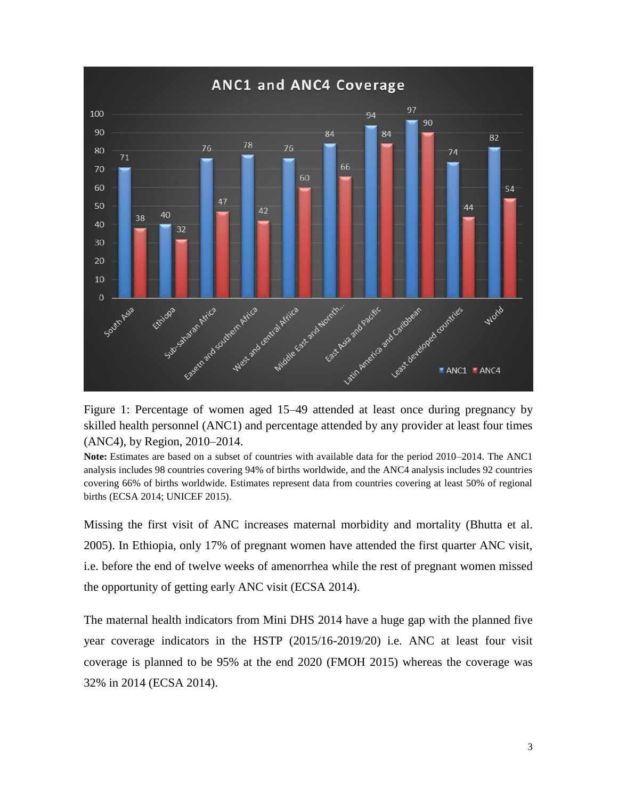

Figure 1: Percentage of women aged 15–49 attended at least once during pregnancy by skilled health personnel (ANC1) and percentage attended by any provider at least four times (ANC4), by Region, 2010–2014.

**Note:** Estimates are based on a subset of countries with available data for the period 2010–2014. The ANC1 analysis includes 98 countries covering 94% of births worldwide, and the ANC4 analysis includes 92 countries covering 66% of births worldwide. Estimates represent data from countries covering at least 50% of regional births (ECSA 2014; UNICEF 2015).

Missing the first visit of ANC increases maternal morbidity and mortality (Bhutta et al. 2005). In Ethiopia, only 17% of pregnant women have attended the first quarter ANC visit, i.e. before the end of twelve weeks of amenorrhea while the rest of pregnant women missed the opportunity of getting early ANC visit (ECSA 2014).

The maternal health indicators from Mini DHS 2014 have a huge gap with the planned five year coverage indicators in the HSTP (2015/16-2019/20) i.e. ANC at least four visit coverage is planned to be 95% at the end 2020 (FMOH 2015) whereas the coverage was 32% in 2014 (ECSA 2014).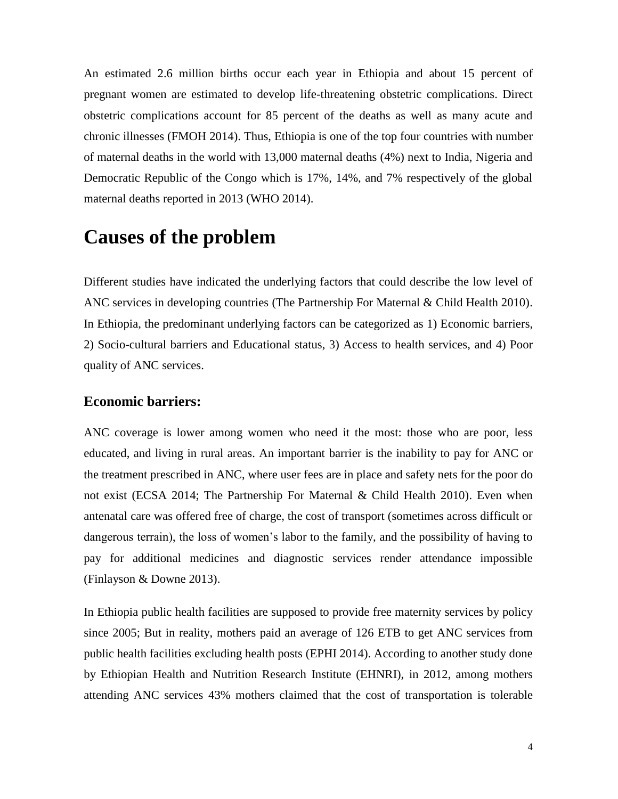An estimated 2.6 million births occur each year in Ethiopia and about 15 percent of pregnant women are estimated to develop life-threatening obstetric complications. Direct obstetric complications account for 85 percent of the deaths as well as many acute and chronic illnesses (FMOH 2014). Thus, Ethiopia is one of the top four countries with number of maternal deaths in the world with 13,000 maternal deaths (4%) next to India, Nigeria and Democratic Republic of the Congo which is 17%, 14%, and 7% respectively of the global maternal deaths reported in 2013 (WHO 2014).

# <span id="page-9-0"></span>**Causes of the problem**

Different studies have indicated the underlying factors that could describe the low level of ANC services in developing countries (The Partnership For Maternal & Child Health 2010). In Ethiopia, the predominant underlying factors can be categorized as 1) Economic barriers, 2) Socio-cultural barriers and Educational status, 3) Access to health services, and 4) Poor quality of ANC services.

## **Economic barriers:**

ANC coverage is lower among women who need it the most: those who are poor, less educated, and living in rural areas. An important barrier is the inability to pay for ANC or the treatment prescribed in ANC, where user fees are in place and safety nets for the poor do not exist (ECSA 2014; The Partnership For Maternal & Child Health 2010). Even when antenatal care was offered free of charge, the cost of transport (sometimes across difficult or dangerous terrain), the loss of women's labor to the family, and the possibility of having to pay for additional medicines and diagnostic services render attendance impossible (Finlayson & Downe 2013).

In Ethiopia public health facilities are supposed to provide free maternity services by policy since 2005; But in reality, mothers paid an average of 126 ETB to get ANC services from public health facilities excluding health posts (EPHI 2014). According to another study done by Ethiopian Health and Nutrition Research Institute (EHNRI), in 2012, among mothers attending ANC services 43% mothers claimed that the cost of transportation is tolerable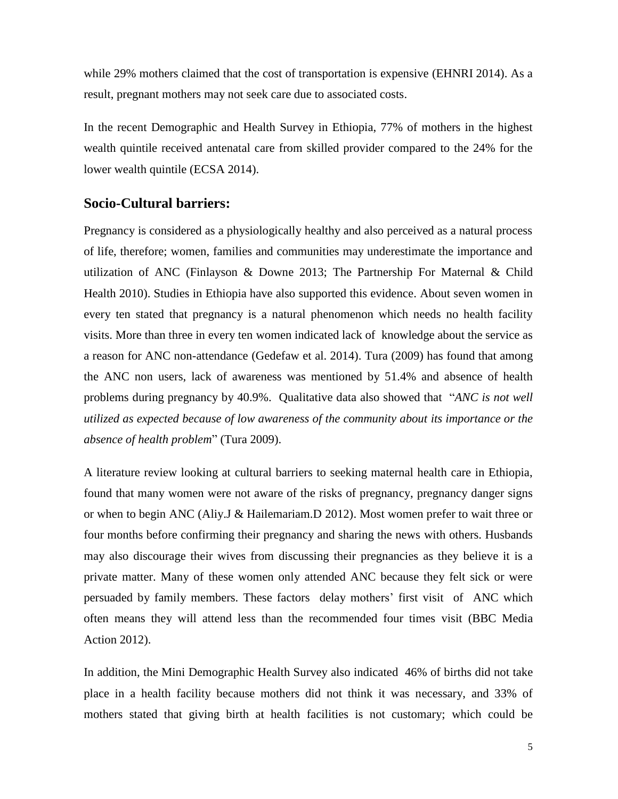while 29% mothers claimed that the cost of transportation is expensive (EHNRI 2014). As a result, pregnant mothers may not seek care due to associated costs.

In the recent Demographic and Health Survey in Ethiopia, 77% of mothers in the highest wealth quintile received antenatal care from skilled provider compared to the 24% for the lower wealth quintile (ECSA 2014).

#### **Socio-Cultural barriers:**

Pregnancy is considered as a physiologically healthy and also perceived as a natural process of life, therefore; women, families and communities may underestimate the importance and utilization of ANC (Finlayson & Downe 2013; The Partnership For Maternal & Child Health 2010). Studies in Ethiopia have also supported this evidence. About seven women in every ten stated that pregnancy is a natural phenomenon which needs no health facility visits. More than three in every ten women indicated lack of knowledge about the service as a reason for ANC non-attendance (Gedefaw et al. 2014). Tura (2009) has found that among the ANC non users, lack of awareness was mentioned by 51.4% and absence of health problems during pregnancy by 40.9%. Qualitative data also showed that "*ANC is not well utilized as expected because of low awareness of the community about its importance or the absence of health problem*" (Tura 2009).

A literature review looking at cultural barriers to seeking maternal health care in Ethiopia, found that many women were not aware of the risks of pregnancy, pregnancy danger signs or when to begin ANC (Aliy.J & Hailemariam.D 2012). Most women prefer to wait three or four months before confirming their pregnancy and sharing the news with others. Husbands may also discourage their wives from discussing their pregnancies as they believe it is a private matter. Many of these women only attended ANC because they felt sick or were persuaded by family members. These factors delay mothers' first visit of ANC which often means they will attend less than the recommended four times visit (BBC Media Action 2012).

In addition, the Mini Demographic Health Survey also indicated 46% of births did not take place in a health facility because mothers did not think it was necessary, and 33% of mothers stated that giving birth at health facilities is not customary; which could be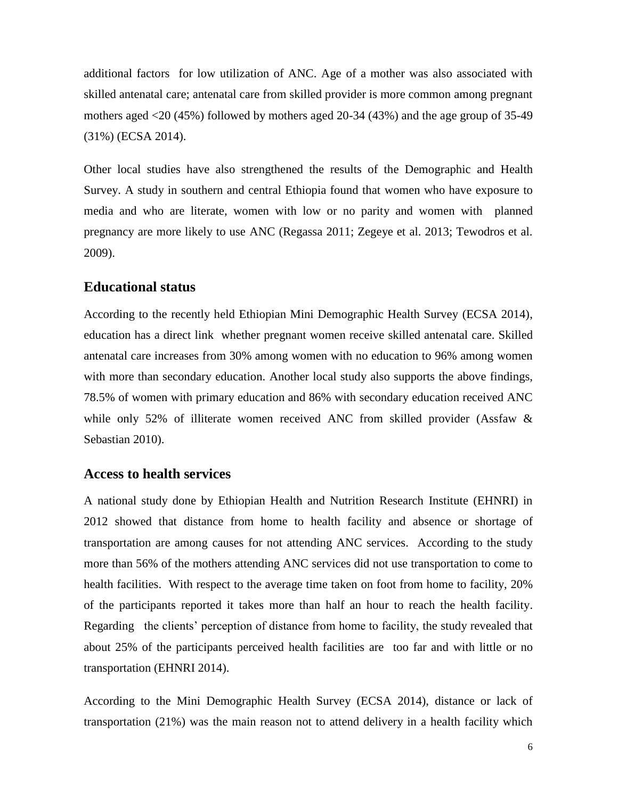additional factors for low utilization of ANC. Age of a mother was also associated with skilled antenatal care; antenatal care from skilled provider is more common among pregnant mothers aged <20 (45%) followed by mothers aged 20-34 (43%) and the age group of 35-49 (31%) (ECSA 2014).

Other local studies have also strengthened the results of the Demographic and Health Survey. A study in southern and central Ethiopia found that women who have exposure to media and who are literate, women with low or no parity and women with planned pregnancy are more likely to use ANC (Regassa 2011; Zegeye et al. 2013; Tewodros et al. 2009).

#### **Educational status**

According to the recently held Ethiopian Mini Demographic Health Survey (ECSA 2014), education has a direct link whether pregnant women receive skilled antenatal care. Skilled antenatal care increases from 30% among women with no education to 96% among women with more than secondary education. Another local study also supports the above findings, 78.5% of women with primary education and 86% with secondary education received ANC while only 52% of illiterate women received ANC from skilled provider (Assfaw & Sebastian 2010).

#### **Access to health services**

A national study done by Ethiopian Health and Nutrition Research Institute (EHNRI) in 2012 showed that distance from home to health facility and absence or shortage of transportation are among causes for not attending ANC services. According to the study more than 56% of the mothers attending ANC services did not use transportation to come to health facilities. With respect to the average time taken on foot from home to facility, 20% of the participants reported it takes more than half an hour to reach the health facility. Regarding the clients' perception of distance from home to facility, the study revealed that about 25% of the participants perceived health facilities are too far and with little or no transportation (EHNRI 2014).

According to the Mini Demographic Health Survey (ECSA 2014), distance or lack of transportation (21%) was the main reason not to attend delivery in a health facility which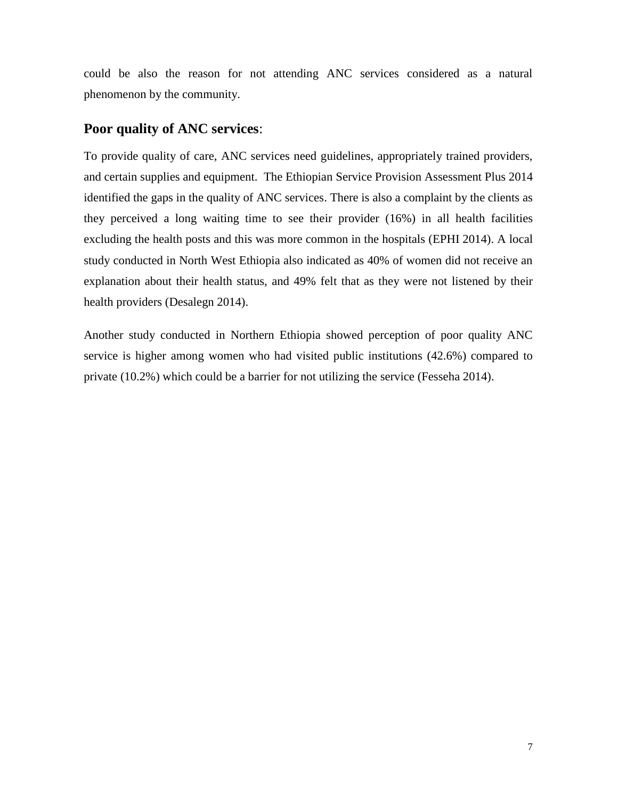could be also the reason for not attending ANC services considered as a natural phenomenon by the community.

## **Poor quality of ANC services**:

To provide quality of care, ANC services need guidelines, appropriately trained providers, and certain supplies and equipment. The Ethiopian Service Provision Assessment Plus 2014 identified the gaps in the quality of ANC services. There is also a complaint by the clients as they perceived a long waiting time to see their provider (16%) in all health facilities excluding the health posts and this was more common in the hospitals (EPHI 2014). A local study conducted in North West Ethiopia also indicated as 40% of women did not receive an explanation about their health status, and 49% felt that as they were not listened by their health providers (Desalegn 2014).

Another study conducted in Northern Ethiopia showed perception of poor quality ANC service is higher among women who had visited public institutions (42.6%) compared to private (10.2%) which could be a barrier for not utilizing the service (Fesseha 2014).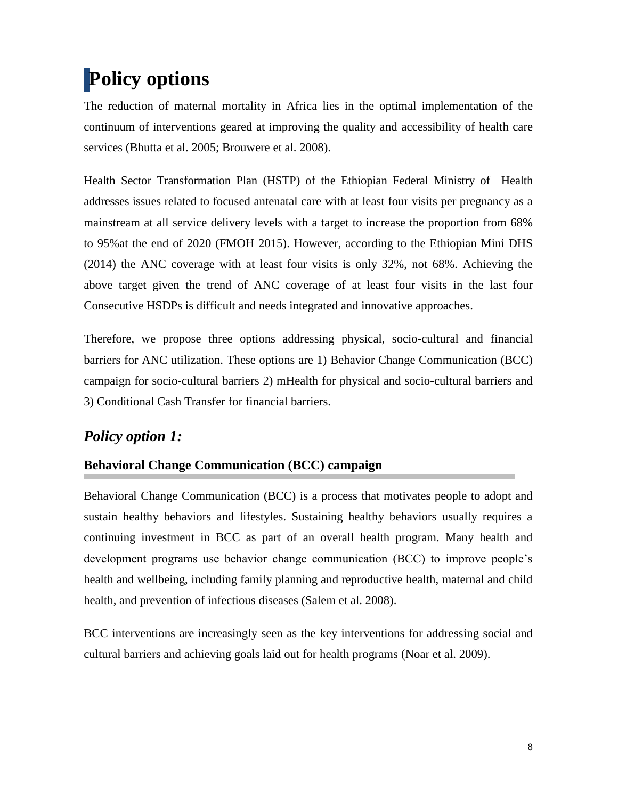# <span id="page-13-0"></span>**Policy options**

The reduction of maternal mortality in Africa lies in the optimal implementation of the continuum of interventions geared at improving the quality and accessibility of health care services (Bhutta et al. 2005; Brouwere et al. 2008).

Health Sector Transformation Plan (HSTP) of the Ethiopian Federal Ministry of Health addresses issues related to focused antenatal care with at least four visits per pregnancy as a mainstream at all service delivery levels with a target to increase the proportion from 68% to 95%at the end of 2020 (FMOH 2015). However, according to the Ethiopian Mini DHS (2014) the ANC coverage with at least four visits is only 32%, not 68%. Achieving the above target given the trend of ANC coverage of at least four visits in the last four Consecutive HSDPs is difficult and needs integrated and innovative approaches.

Therefore, we propose three options addressing physical, socio-cultural and financial barriers for ANC utilization. These options are 1) Behavior Change Communication (BCC) campaign for socio-cultural barriers 2) mHealth for physical and socio-cultural barriers and 3) Conditional Cash Transfer for financial barriers.

# *Policy option 1:*

## **Behavioral Change Communication (BCC) campaign**

Behavioral Change Communication (BCC) is a process that motivates people to adopt and sustain healthy behaviors and lifestyles. Sustaining healthy behaviors usually requires a continuing investment in BCC as part of an overall health program. Many health and development programs use behavior change communication (BCC) to improve people's health and wellbeing, including family planning and reproductive health, maternal and child health, and prevention of infectious diseases (Salem et al. 2008).

BCC interventions are increasingly seen as the key interventions for addressing social and cultural barriers and achieving goals laid out for health programs (Noar et al. 2009).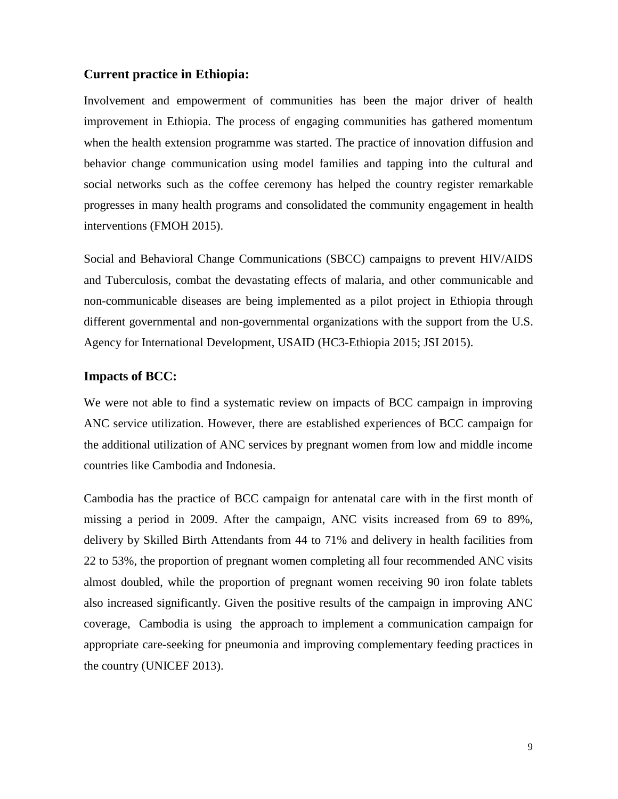#### **Current practice in Ethiopia:**

Involvement and empowerment of communities has been the major driver of health improvement in Ethiopia. The process of engaging communities has gathered momentum when the health extension programme was started. The practice of innovation diffusion and behavior change communication using model families and tapping into the cultural and social networks such as the coffee ceremony has helped the country register remarkable progresses in many health programs and consolidated the community engagement in health interventions (FMOH 2015).

Social and Behavioral Change Communications (SBCC) campaigns to prevent HIV/AIDS and Tuberculosis, combat the devastating effects of malaria, and other communicable and non-communicable diseases are being implemented as a pilot project in Ethiopia through different governmental and non-governmental organizations with the support from the U.S. Agency for International Development, USAID (HC3-Ethiopia 2015; JSI 2015).

#### **Impacts of BCC:**

We were not able to find a systematic review on impacts of BCC campaign in improving ANC service utilization. However, there are established experiences of BCC campaign for the additional utilization of ANC services by pregnant women from low and middle income countries like Cambodia and Indonesia.

Cambodia has the practice of BCC campaign for antenatal care with in the first month of missing a period in 2009. After the campaign, ANC visits increased from 69 to 89%, delivery by Skilled Birth Attendants from 44 to 71% and delivery in health facilities from 22 to 53%, the proportion of pregnant women completing all four recommended ANC visits almost doubled, while the proportion of pregnant women receiving 90 iron folate tablets also increased significantly. Given the positive results of the campaign in improving ANC coverage, Cambodia is using the approach to implement a communication campaign for appropriate care-seeking for pneumonia and improving complementary feeding practices in the country (UNICEF 2013).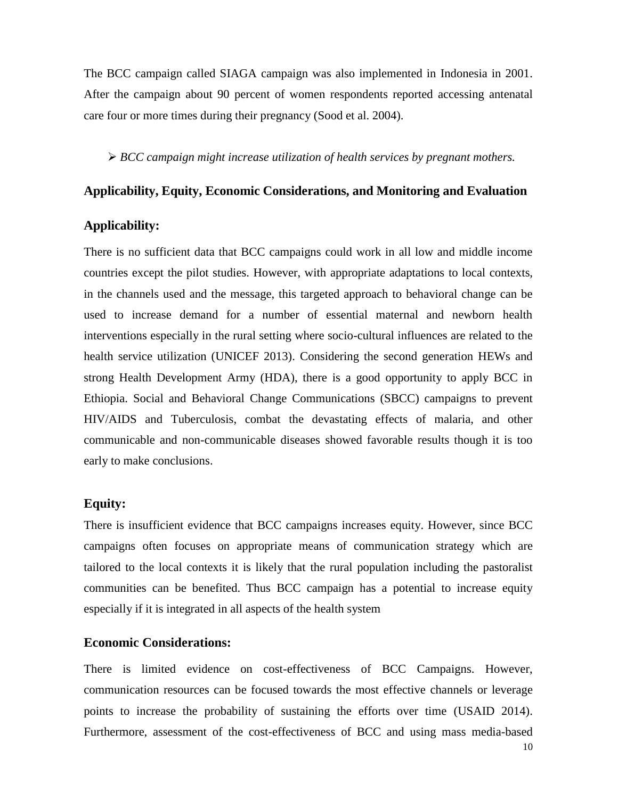The BCC campaign called SIAGA campaign was also implemented in Indonesia in 2001. After the campaign about 90 percent of women respondents reported accessing antenatal care four or more times during their pregnancy (Sood et al. 2004).

*BCC campaign might increase utilization of health services by pregnant mothers.*

#### **Applicability, Equity, Economic Considerations, and Monitoring and Evaluation**

#### **Applicability:**

There is no sufficient data that BCC campaigns could work in all low and middle income countries except the pilot studies. However, with appropriate adaptations to local contexts, in the channels used and the message, this targeted approach to behavioral change can be used to increase demand for a number of essential maternal and newborn health interventions especially in the rural setting where socio-cultural influences are related to the health service utilization (UNICEF 2013). Considering the second generation HEWs and strong Health Development Army (HDA), there is a good opportunity to apply BCC in Ethiopia. Social and Behavioral Change Communications (SBCC) campaigns to prevent HIV/AIDS and Tuberculosis, combat the devastating effects of malaria, and other communicable and non-communicable diseases showed favorable results though it is too early to make conclusions.

#### **Equity:**

There is insufficient evidence that BCC campaigns increases equity. However, since BCC campaigns often focuses on appropriate means of communication strategy which are tailored to the local contexts it is likely that the rural population including the pastoralist communities can be benefited. Thus BCC campaign has a potential to increase equity especially if it is integrated in all aspects of the health system

#### **Economic Considerations:**

There is limited evidence on cost-effectiveness of BCC Campaigns. However, communication resources can be focused towards the most effective channels or leverage points to increase the probability of sustaining the efforts over time (USAID 2014). Furthermore, assessment of the cost-effectiveness of BCC and using mass media-based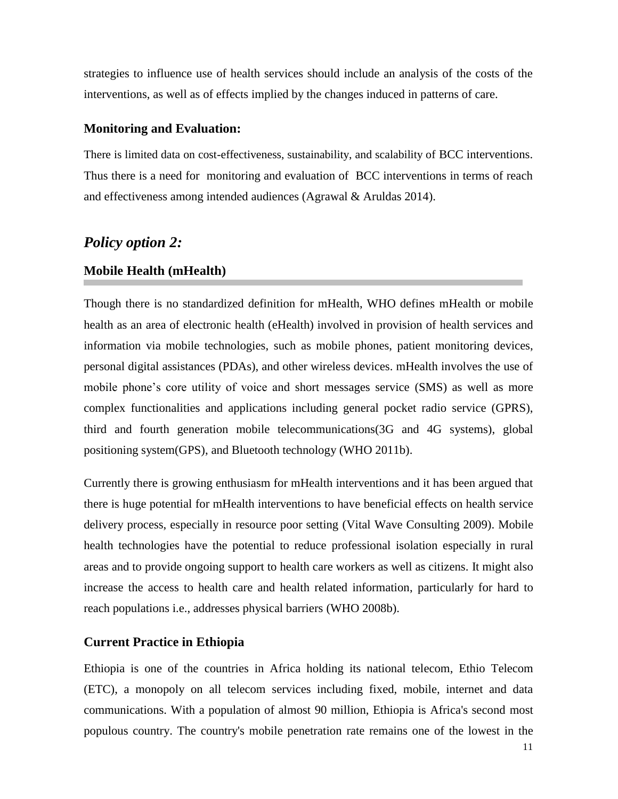strategies to influence use of health services should include an analysis of the costs of the interventions, as well as of effects implied by the changes induced in patterns of care.

#### **Monitoring and Evaluation:**

There is limited data on cost-effectiveness, sustainability, and scalability of BCC interventions. Thus there is a need for monitoring and evaluation of BCC interventions in terms of reach and effectiveness among intended audiences (Agrawal & Aruldas 2014).

## *Policy option 2:*

#### **Mobile Health (mHealth)**

Though there is no standardized definition for mHealth, WHO defines mHealth or mobile health as an area of electronic health (eHealth) involved in provision of health services and information via mobile technologies, such as mobile phones, patient monitoring devices, personal digital assistances (PDAs), and other wireless devices. mHealth involves the use of mobile phone's core utility of voice and short messages service (SMS) as well as more complex functionalities and applications including general pocket radio service (GPRS), third and fourth generation mobile telecommunications(3G and 4G systems), global positioning system(GPS), and Bluetooth technology (WHO 2011b).

Currently there is growing enthusiasm for mHealth interventions and it has been argued that there is huge potential for mHealth interventions to have beneficial effects on health service delivery process, especially in resource poor setting (Vital Wave Consulting 2009). Mobile health technologies have the potential to reduce professional isolation especially in rural areas and to provide ongoing support to health care workers as well as citizens. It might also increase the access to health care and health related information, particularly for hard to reach populations i.e., addresses physical barriers (WHO 2008b).

#### **Current Practice in Ethiopia**

Ethiopia is one of the countries in Africa holding its national telecom, Ethio Telecom (ETC), a monopoly on all telecom services including fixed, mobile, internet and data communications. With a population of almost 90 million, Ethiopia is Africa's second most populous country. The country's mobile penetration rate remains one of the lowest in the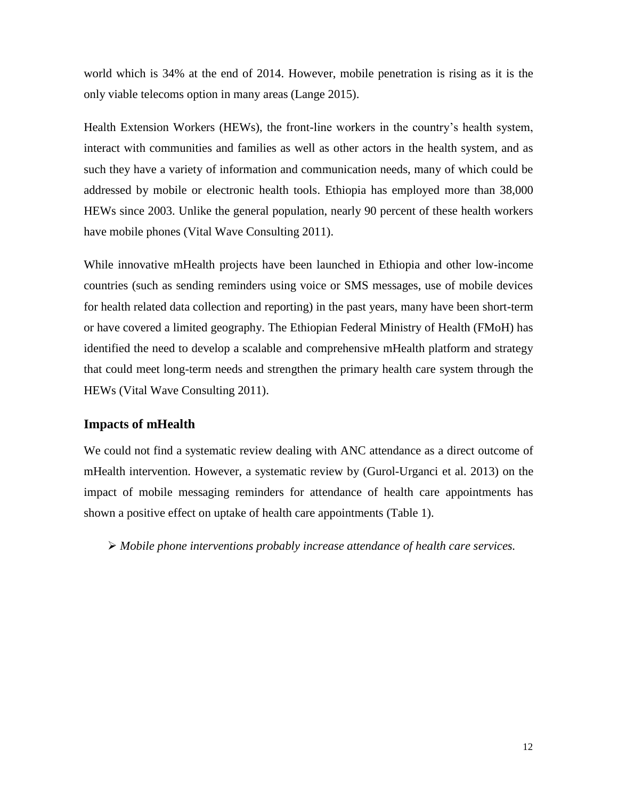world which is 34% at the end of 2014. However, mobile penetration is rising as it is the only viable telecoms option in many areas (Lange 2015).

Health Extension Workers (HEWs), the front-line workers in the country's health system, interact with communities and families as well as other actors in the health system, and as such they have a variety of information and communication needs, many of which could be addressed by mobile or electronic health tools. Ethiopia has employed more than 38,000 HEWs since 2003. Unlike the general population, nearly 90 percent of these health workers have mobile phones (Vital Wave Consulting 2011).

While innovative mHealth projects have been launched in Ethiopia and other low-income countries (such as sending reminders using voice or SMS messages, use of mobile devices for health related data collection and reporting) in the past years, many have been short-term or have covered a limited geography. The Ethiopian Federal Ministry of Health (FMoH) has identified the need to develop a scalable and comprehensive mHealth platform and strategy that could meet long-term needs and strengthen the primary health care system through the HEWs (Vital Wave Consulting 2011).

#### **Impacts of mHealth**

We could not find a systematic review dealing with ANC attendance as a direct outcome of mHealth intervention. However, a systematic review by (Gurol-Urganci et al. 2013) on the impact of mobile messaging reminders for attendance of health care appointments has shown a positive effect on uptake of health care appointments (Table 1).

*Mobile phone interventions probably increase attendance of health care services.*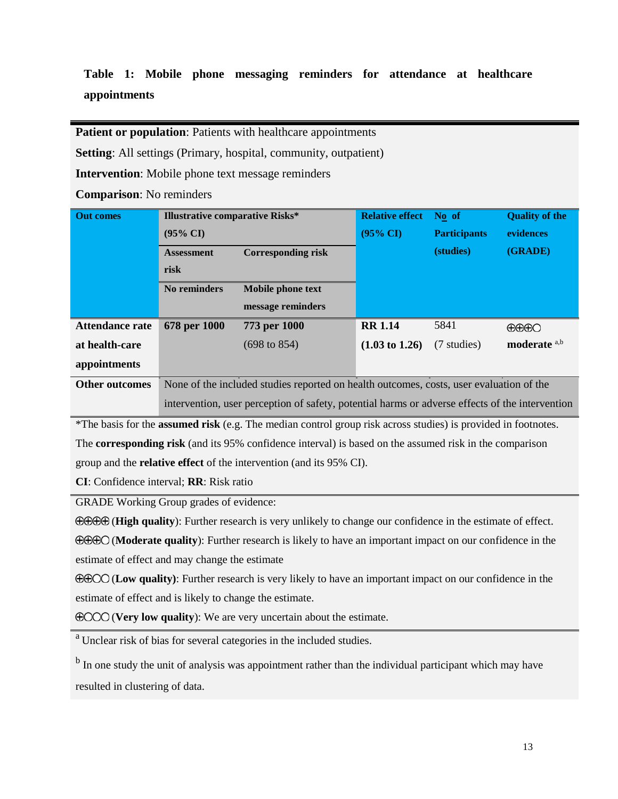# **Table 1: Mobile phone messaging reminders for attendance at healthcare appointments**

Patient or population: Patients with healthcare appointments

**Setting**: All settings (Primary, hospital, community, outpatient)

**Intervention**: Mobile phone text message reminders

**Comparison**: No reminders

| <b>Out comes</b>       | <b>Illustrative comparative Risks*</b>                                                          |                         | <b>Relative effect</b>    | No of               | <b>Quality of the</b> |
|------------------------|-------------------------------------------------------------------------------------------------|-------------------------|---------------------------|---------------------|-----------------------|
|                        | $(95\% \text{ CI})$                                                                             |                         | $(95\% \text{ CI})$       | <b>Participants</b> | evidences             |
|                        | <b>Corresponding risk</b><br><b>Assessment</b>                                                  |                         |                           | (studies)           | (GRADE)               |
|                        | risk                                                                                            |                         |                           |                     |                       |
|                        | No reminders                                                                                    | Mobile phone text       |                           |                     |                       |
|                        |                                                                                                 | message reminders       |                           |                     |                       |
| <b>Attendance rate</b> | 678 per 1000                                                                                    | 773 per 1000            | <b>RR 1.14</b>            | 5841                | $\bigoplus\bigoplus$  |
| at health-care         |                                                                                                 | $(698 \text{ to } 854)$ | $(1.03 \text{ to } 1.26)$ | (7 studies)         | moderate a,b          |
| appointments           |                                                                                                 |                         |                           |                     |                       |
| <b>Other outcomes</b>  | None of the included studies reported on health outcomes, costs, user evaluation of the         |                         |                           |                     |                       |
|                        | intervention, user perception of safety, potential harms or adverse effects of the intervention |                         |                           |                     |                       |

\*The basis for the **assumed risk** (e.g. The median control group risk across studies) is provided in footnotes. The **corresponding risk** (and its 95% confidence interval) is based on the assumed risk in the comparison group and the **relative effect** of the intervention (and its 95% CI).

**CI**: Confidence interval; **RR**: Risk ratio

GRADE Working Group grades of evidence:

(**High quality**): Further research is very unlikely to change our confidence in the estimate of effect.

(**Moderate quality**): Further research is likely to have an important impact on our confidence in the estimate of effect and may change the estimate

(**Low quality)**: Further research is very likely to have an important impact on our confidence in the estimate of effect and is likely to change the estimate.

(**Very low quality**): We are very uncertain about the estimate.

<sup>a</sup> Unclear risk of bias for several categories in the included studies.

<sup>b</sup> In one study the unit of analysis was appointment rather than the individual participant which may have resulted in clustering of data.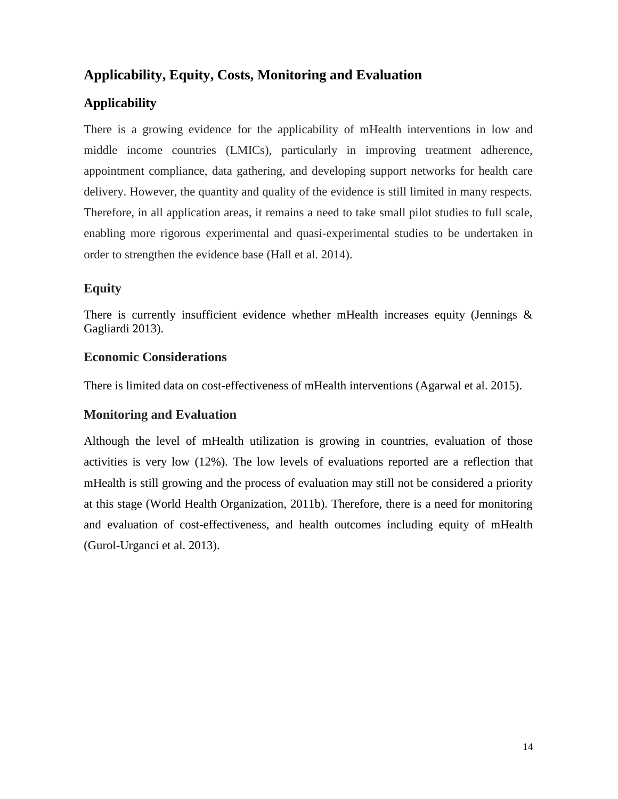# **Applicability, Equity, Costs, Monitoring and Evaluation**

# **Applicability**

There is a growing evidence for the applicability of mHealth interventions in low and middle income countries (LMICs), particularly in improving treatment adherence, appointment compliance, data gathering, and developing support networks for health care delivery. However, the quantity and quality of the evidence is still limited in many respects. Therefore, in all application areas, it remains a need to take small pilot studies to full scale, enabling more rigorous experimental and quasi-experimental studies to be undertaken in order to strengthen the evidence base (Hall et al. 2014).

# **Equity**

There is currently insufficient evidence whether mHealth increases equity (Jennings  $\&$ Gagliardi 2013).

## **Economic Considerations**

There is limited data on cost-effectiveness of mHealth interventions (Agarwal et al. 2015).

# **Monitoring and Evaluation**

Although the level of mHealth utilization is growing in countries, evaluation of those activities is very low (12%). The low levels of evaluations reported are a reflection that mHealth is still growing and the process of evaluation may still not be considered a priority at this stage (World Health Organization, 2011b). Therefore, there is a need for monitoring and evaluation of cost-effectiveness, and health outcomes including equity of mHealth (Gurol-Urganci et al. 2013).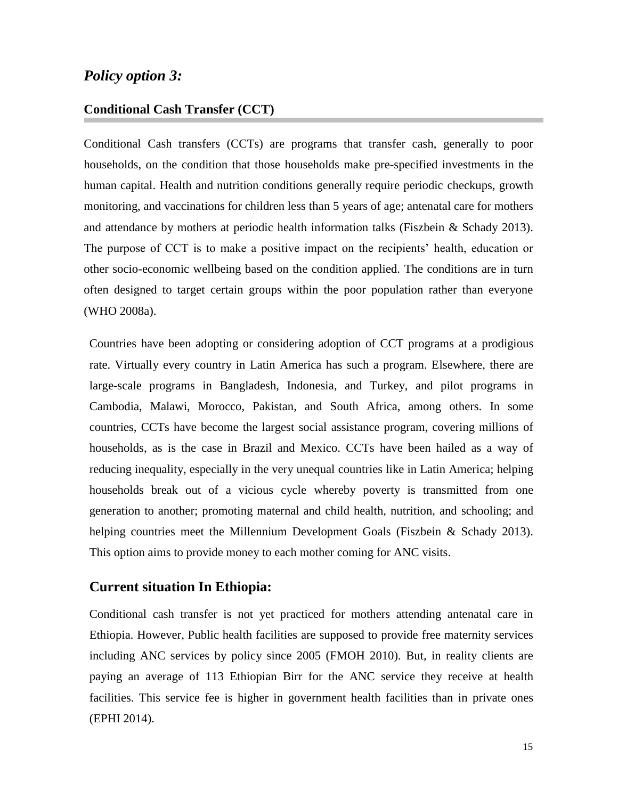## *Policy option 3:*

#### **Conditional Cash Transfer (CCT)**

Conditional Cash transfers (CCTs) are programs that transfer cash, generally to poor households, on the condition that those households make pre-specified investments in the human capital. Health and nutrition conditions generally require periodic checkups, growth monitoring, and vaccinations for children less than 5 years of age; antenatal care for mothers and attendance by mothers at periodic health information talks (Fiszbein & Schady 2013). The purpose of CCT is to make a positive impact on the recipients' health, education or other socio-economic wellbeing based on the condition applied. The conditions are in turn often designed to target certain groups within the poor population rather than everyone (WHO 2008a).

Countries have been adopting or considering adoption of CCT programs at a prodigious rate. Virtually every country in Latin America has such a program. Elsewhere, there are large-scale programs in Bangladesh, Indonesia, and Turkey, and pilot programs in Cambodia, Malawi, Morocco, Pakistan, and South Africa, among others. In some countries, CCTs have become the largest social assistance program, covering millions of households, as is the case in Brazil and Mexico. CCTs have been hailed as a way of reducing inequality, especially in the very unequal countries like in Latin America; helping households break out of a vicious cycle whereby poverty is transmitted from one generation to another; promoting maternal and child health, nutrition, and schooling; and helping countries meet the Millennium Development Goals (Fiszbein & Schady 2013). This option aims to provide money to each mother coming for ANC visits.

#### **Current situation In Ethiopia:**

Conditional cash transfer is not yet practiced for mothers attending antenatal care in Ethiopia. However, Public health facilities are supposed to provide free maternity services including ANC services by policy since 2005 (FMOH 2010). But, in reality clients are paying an average of 113 Ethiopian Birr for the ANC service they receive at health facilities. This service fee is higher in government health facilities than in private ones (EPHI 2014).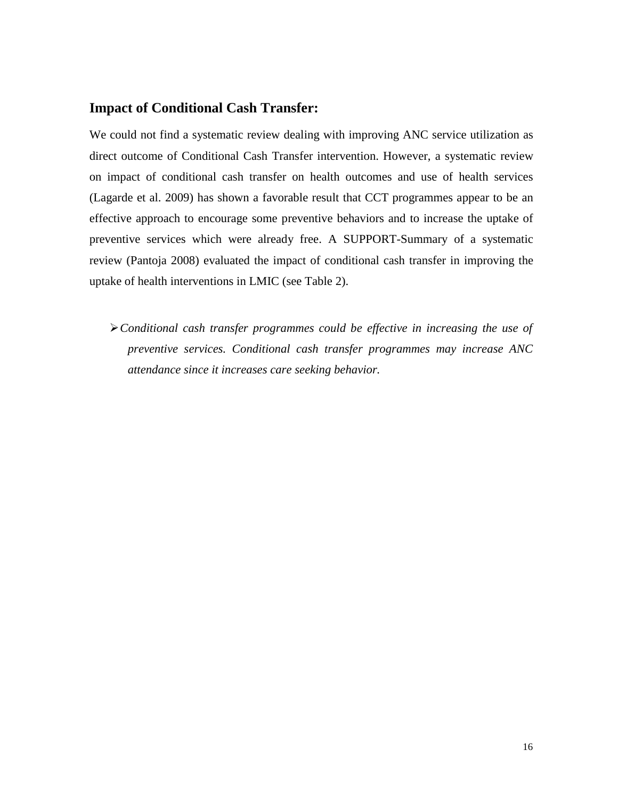## **Impact of Conditional Cash Transfer:**

We could not find a systematic review dealing with improving ANC service utilization as direct outcome of Conditional Cash Transfer intervention. However, a systematic review on impact of conditional cash transfer on health outcomes and use of health services (Lagarde et al. 2009) has shown a favorable result that CCT programmes appear to be an effective approach to encourage some preventive behaviors and to increase the uptake of preventive services which were already free. A SUPPORT-Summary of a systematic review (Pantoja 2008) evaluated the impact of conditional cash transfer in improving the uptake of health interventions in LMIC (see Table 2).

*Conditional cash transfer programmes could be effective in increasing the use of preventive services. Conditional cash transfer programmes may increase ANC attendance since it increases care seeking behavior.*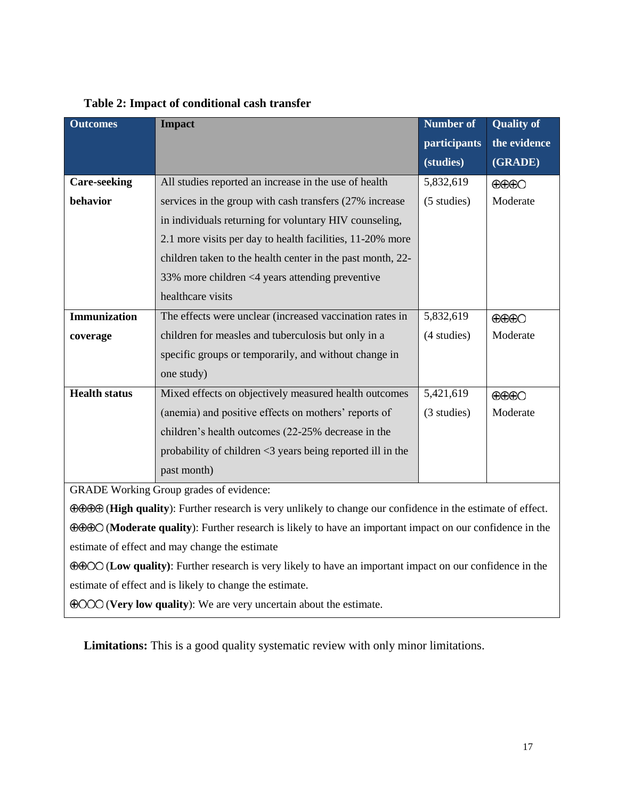| <b>Outcomes</b>                                | <b>Impact</b>                                              | <b>Number of</b> | <b>Quality of</b>            |  |
|------------------------------------------------|------------------------------------------------------------|------------------|------------------------------|--|
|                                                |                                                            | participants     | the evidence                 |  |
|                                                |                                                            | (studies)        | (GRADE)                      |  |
| <b>Care-seeking</b>                            | All studies reported an increase in the use of health      | 5,832,619        | $\bigoplus\bigoplus$         |  |
| behavior                                       | services in the group with cash transfers (27% increase)   | (5 studies)      | Moderate                     |  |
|                                                | in individuals returning for voluntary HIV counseling,     |                  |                              |  |
|                                                | 2.1 more visits per day to health facilities, 11-20% more  |                  |                              |  |
|                                                | children taken to the health center in the past month, 22- |                  |                              |  |
|                                                | 33% more children <4 years attending preventive            |                  |                              |  |
|                                                | healthcare visits                                          |                  |                              |  |
| <b>Immunization</b>                            | The effects were unclear (increased vaccination rates in   | 5,832,619        | $\bigoplus\bigoplus\bigodot$ |  |
| coverage                                       | children for measles and tuberculosis but only in a        | (4 studies)      | Moderate                     |  |
|                                                | specific groups or temporarily, and without change in      |                  |                              |  |
|                                                | one study)                                                 |                  |                              |  |
| <b>Health status</b>                           | Mixed effects on objectively measured health outcomes      | 5,421,619        | $\bigoplus\bigoplus\bigodot$ |  |
|                                                | (anemia) and positive effects on mothers' reports of       | (3 studies)      | Moderate                     |  |
|                                                | children's health outcomes (22-25% decrease in the         |                  |                              |  |
|                                                | probability of children <3 years being reported ill in the |                  |                              |  |
|                                                | past month)                                                |                  |                              |  |
| <b>GRADE Working Group grades of evidence:</b> |                                                            |                  |                              |  |

#### **Table 2: Impact of conditional cash transfer**

(**High quality**): Further research is very unlikely to change our confidence in the estimate of effect.

(**Moderate quality**): Further research is likely to have an important impact on our confidence in the estimate of effect and may change the estimate

(**Low quality)**: Further research is very likely to have an important impact on our confidence in the estimate of effect and is likely to change the estimate.

(**Very low quality**): We are very uncertain about the estimate.

**Limitations:** This is a good quality systematic review with only minor limitations.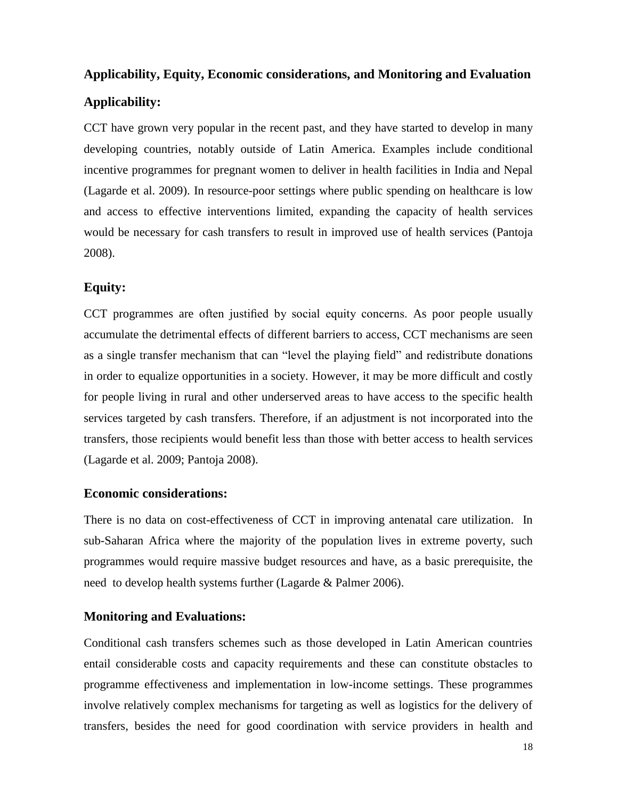# **Applicability, Equity, Economic considerations, and Monitoring and Evaluation Applicability:**

CCT have grown very popular in the recent past, and they have started to develop in many developing countries, notably outside of Latin America. Examples include conditional incentive programmes for pregnant women to deliver in health facilities in India and Nepal (Lagarde et al. 2009). In resource-poor settings where public spending on healthcare is low and access to effective interventions limited, expanding the capacity of health services would be necessary for cash transfers to result in improved use of health services (Pantoja 2008).

## **Equity:**

CCT programmes are often justified by social equity concerns. As poor people usually accumulate the detrimental effects of different barriers to access, CCT mechanisms are seen as a single transfer mechanism that can "level the playing field" and redistribute donations in order to equalize opportunities in a society. However, it may be more difficult and costly for people living in rural and other underserved areas to have access to the specific health services targeted by cash transfers. Therefore, if an adjustment is not incorporated into the transfers, those recipients would benefit less than those with better access to health services (Lagarde et al. 2009; Pantoja 2008).

#### **Economic considerations:**

There is no data on cost-effectiveness of CCT in improving antenatal care utilization. In sub-Saharan Africa where the majority of the population lives in extreme poverty, such programmes would require massive budget resources and have, as a basic prerequisite, the need to develop health systems further (Lagarde & Palmer 2006).

#### **Monitoring and Evaluations:**

Conditional cash transfers schemes such as those developed in Latin American countries entail considerable costs and capacity requirements and these can constitute obstacles to programme effectiveness and implementation in low-income settings. These programmes involve relatively complex mechanisms for targeting as well as logistics for the delivery of transfers, besides the need for good coordination with service providers in health and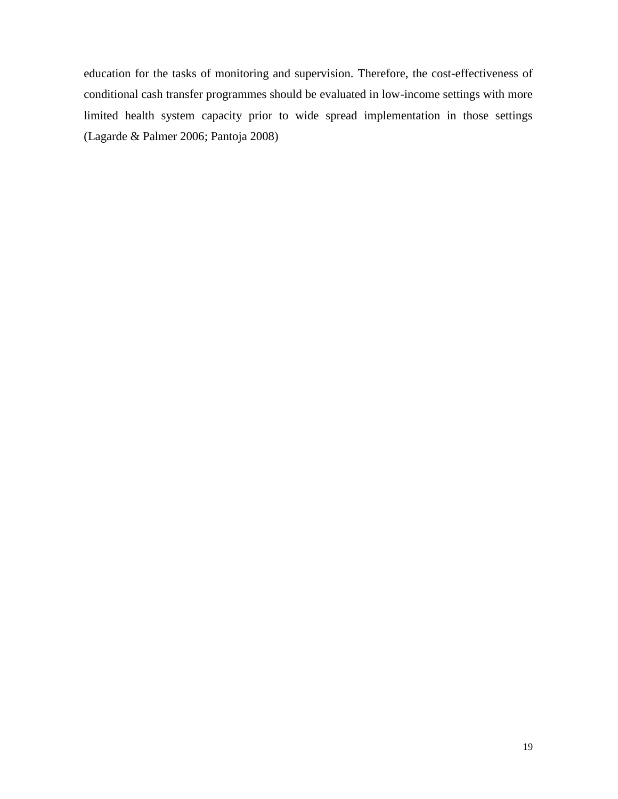education for the tasks of monitoring and supervision. Therefore, the cost-effectiveness of conditional cash transfer programmes should be evaluated in low-income settings with more limited health system capacity prior to wide spread implementation in those settings (Lagarde & Palmer 2006; Pantoja 2008)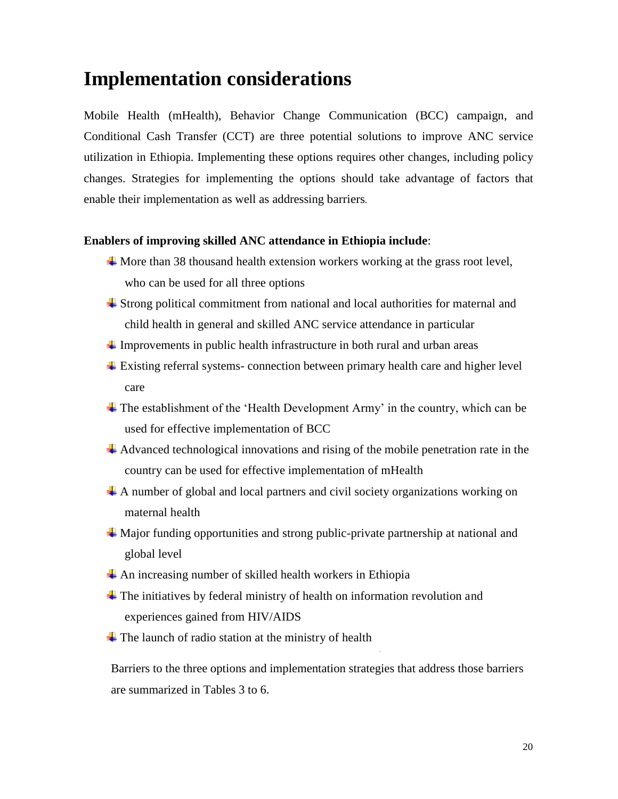# <span id="page-25-0"></span>**Implementation considerations**

Mobile Health (mHealth), Behavior Change Communication (BCC) campaign, and Conditional Cash Transfer (CCT) are three potential solutions to improve ANC service utilization in Ethiopia. Implementing these options requires other changes, including policy changes. Strategies for implementing the options should take advantage of factors that enable their implementation as well as addressing barriers.

#### **Enablers of improving skilled ANC attendance in Ethiopia include**:

- $\overline{\text{4}}$  More than 38 thousand health extension workers working at the grass root level, who can be used for all three options
- Strong political commitment from national and local authorities for maternal and child health in general and skilled ANC service attendance in particular
- $\ddot{\text{I}}$  Improvements in public health infrastructure in both rural and urban areas
- Existing referral systems- connection between primary health care and higher level care
- The establishment of the 'Health Development Army' in the country, which can be used for effective implementation of BCC
- Advanced technological innovations and rising of the mobile penetration rate in the country can be used for effective implementation of mHealth
- A number of global and local partners and civil society organizations working on maternal health
- Major funding opportunities and strong public-private partnership at national and global level
- $\triangle$  An increasing number of skilled health workers in Ethiopia
- The initiatives by federal ministry of health on information revolution and experiences gained from HIV/AIDS
- $\overline{\text{F}}$  The launch of radio station at the ministry of health

Barriers to the three options and implementation strategies that address those barriers are summarized in Tables 3 to 6.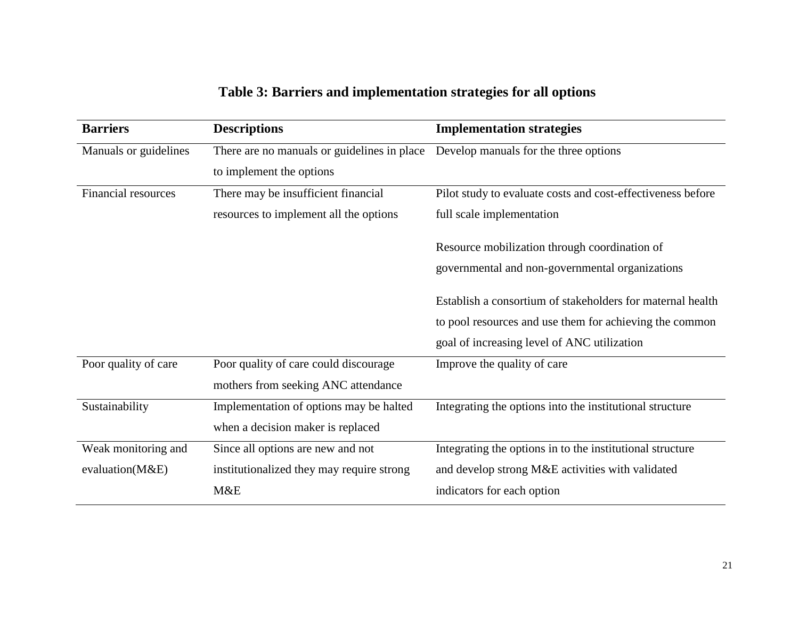| <b>Barriers</b>       | <b>Descriptions</b>                         | <b>Implementation strategies</b>                            |
|-----------------------|---------------------------------------------|-------------------------------------------------------------|
| Manuals or guidelines | There are no manuals or guidelines in place | Develop manuals for the three options                       |
|                       | to implement the options                    |                                                             |
| Financial resources   | There may be insufficient financial         | Pilot study to evaluate costs and cost-effectiveness before |
|                       | resources to implement all the options      | full scale implementation                                   |
|                       |                                             | Resource mobilization through coordination of               |
|                       |                                             | governmental and non-governmental organizations             |
|                       |                                             | Establish a consortium of stakeholders for maternal health  |
|                       |                                             | to pool resources and use them for achieving the common     |
|                       |                                             | goal of increasing level of ANC utilization                 |
| Poor quality of care  | Poor quality of care could discourage       | Improve the quality of care                                 |
|                       | mothers from seeking ANC attendance         |                                                             |
| Sustainability        | Implementation of options may be halted     | Integrating the options into the institutional structure    |
|                       | when a decision maker is replaced           |                                                             |
| Weak monitoring and   | Since all options are new and not           | Integrating the options in to the institutional structure   |
| evaluation(M&E)       | institutionalized they may require strong   | and develop strong M&E activities with validated            |
|                       | M&E                                         | indicators for each option                                  |

# **Table 3: Barriers and implementation strategies for all options**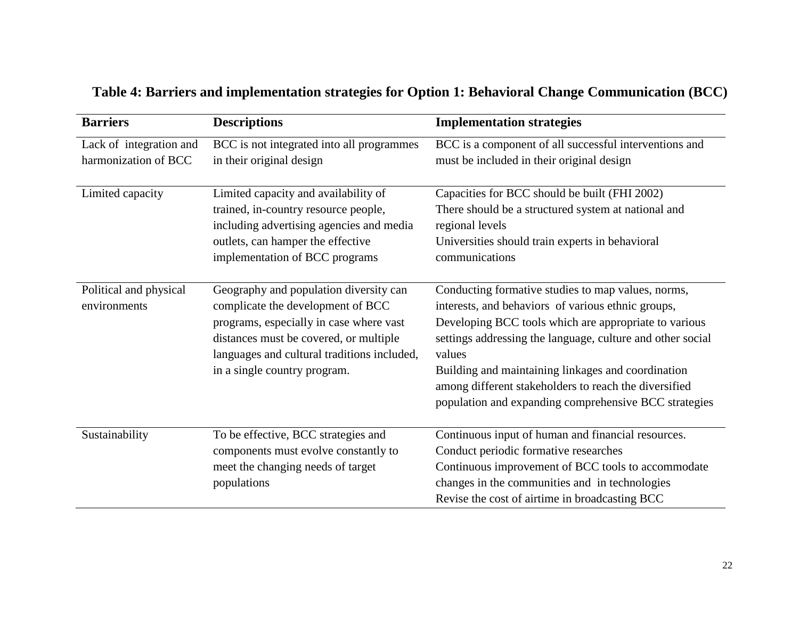| <b>Barriers</b>                                 | <b>Descriptions</b>                                                                                                                                                                                                                             | <b>Implementation strategies</b>                                                                                                                                                                                                                                                                                                                                                                                  |
|-------------------------------------------------|-------------------------------------------------------------------------------------------------------------------------------------------------------------------------------------------------------------------------------------------------|-------------------------------------------------------------------------------------------------------------------------------------------------------------------------------------------------------------------------------------------------------------------------------------------------------------------------------------------------------------------------------------------------------------------|
| Lack of integration and<br>harmonization of BCC | BCC is not integrated into all programmes<br>in their original design                                                                                                                                                                           | BCC is a component of all successful interventions and<br>must be included in their original design                                                                                                                                                                                                                                                                                                               |
| Limited capacity                                | Limited capacity and availability of<br>trained, in-country resource people,<br>including advertising agencies and media<br>outlets, can hamper the effective<br>implementation of BCC programs                                                 | Capacities for BCC should be built (FHI 2002)<br>There should be a structured system at national and<br>regional levels<br>Universities should train experts in behavioral<br>communications                                                                                                                                                                                                                      |
| Political and physical<br>environments          | Geography and population diversity can<br>complicate the development of BCC<br>programs, especially in case where vast<br>distances must be covered, or multiple<br>languages and cultural traditions included,<br>in a single country program. | Conducting formative studies to map values, norms,<br>interests, and behaviors of various ethnic groups,<br>Developing BCC tools which are appropriate to various<br>settings addressing the language, culture and other social<br>values<br>Building and maintaining linkages and coordination<br>among different stakeholders to reach the diversified<br>population and expanding comprehensive BCC strategies |
| Sustainability                                  | To be effective, BCC strategies and<br>components must evolve constantly to<br>meet the changing needs of target<br>populations                                                                                                                 | Continuous input of human and financial resources.<br>Conduct periodic formative researches<br>Continuous improvement of BCC tools to accommodate<br>changes in the communities and in technologies<br>Revise the cost of airtime in broadcasting BCC                                                                                                                                                             |

# **Table 4: Barriers and implementation strategies for Option 1: Behavioral Change Communication (BCC)**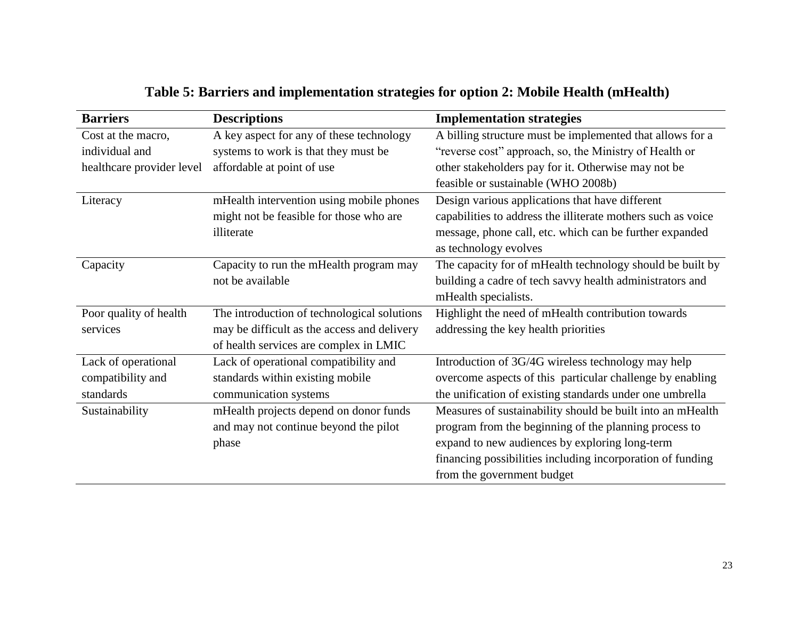| <b>Barriers</b>           | <b>Descriptions</b>                         | <b>Implementation strategies</b>                             |
|---------------------------|---------------------------------------------|--------------------------------------------------------------|
| Cost at the macro,        | A key aspect for any of these technology    | A billing structure must be implemented that allows for a    |
| individual and            | systems to work is that they must be        | "reverse cost" approach, so, the Ministry of Health or       |
| healthcare provider level | affordable at point of use                  | other stakeholders pay for it. Otherwise may not be          |
|                           |                                             | feasible or sustainable (WHO 2008b)                          |
| Literacy                  | mHealth intervention using mobile phones    | Design various applications that have different              |
|                           | might not be feasible for those who are     | capabilities to address the illiterate mothers such as voice |
|                           | illiterate                                  | message, phone call, etc. which can be further expanded      |
|                           |                                             | as technology evolves                                        |
| Capacity                  | Capacity to run the mHealth program may     | The capacity for of mHealth technology should be built by    |
|                           | not be available                            | building a cadre of tech savvy health administrators and     |
|                           |                                             | mHealth specialists.                                         |
| Poor quality of health    | The introduction of technological solutions | Highlight the need of mHealth contribution towards           |
| services                  | may be difficult as the access and delivery | addressing the key health priorities                         |
|                           | of health services are complex in LMIC      |                                                              |
| Lack of operational       | Lack of operational compatibility and       | Introduction of 3G/4G wireless technology may help           |
| compatibility and         | standards within existing mobile            | overcome aspects of this particular challenge by enabling    |
| standards                 | communication systems                       | the unification of existing standards under one umbrella     |
| Sustainability            | mHealth projects depend on donor funds      | Measures of sustainability should be built into an mHealth   |
|                           | and may not continue beyond the pilot       | program from the beginning of the planning process to        |
|                           | phase                                       | expand to new audiences by exploring long-term               |
|                           |                                             | financing possibilities including incorporation of funding   |
|                           |                                             | from the government budget                                   |

# **Table 5: Barriers and implementation strategies for option 2: Mobile Health (mHealth)**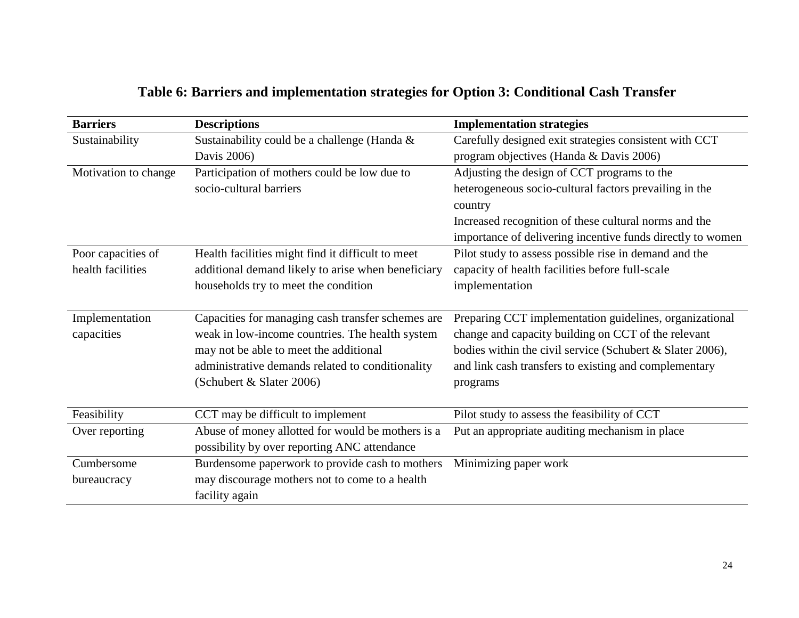| Table 6: Barriers and implementation strategies for Option 3: Conditional Cash Transfer |  |  |  |  |  |  |
|-----------------------------------------------------------------------------------------|--|--|--|--|--|--|
|-----------------------------------------------------------------------------------------|--|--|--|--|--|--|

| <b>Barriers</b>      | <b>Descriptions</b>                                | <b>Implementation strategies</b>                           |
|----------------------|----------------------------------------------------|------------------------------------------------------------|
| Sustainability       | Sustainability could be a challenge (Handa &       | Carefully designed exit strategies consistent with CCT     |
|                      | Davis 2006)                                        | program objectives (Handa & Davis 2006)                    |
| Motivation to change | Participation of mothers could be low due to       | Adjusting the design of CCT programs to the                |
|                      | socio-cultural barriers                            | heterogeneous socio-cultural factors prevailing in the     |
|                      |                                                    | country                                                    |
|                      |                                                    | Increased recognition of these cultural norms and the      |
|                      |                                                    | importance of delivering incentive funds directly to women |
| Poor capacities of   | Health facilities might find it difficult to meet  | Pilot study to assess possible rise in demand and the      |
| health facilities    | additional demand likely to arise when beneficiary | capacity of health facilities before full-scale            |
|                      | households try to meet the condition               | implementation                                             |
| Implementation       | Capacities for managing cash transfer schemes are  | Preparing CCT implementation guidelines, organizational    |
| capacities           | weak in low-income countries. The health system    | change and capacity building on CCT of the relevant        |
|                      | may not be able to meet the additional             | bodies within the civil service (Schubert & Slater 2006),  |
|                      | administrative demands related to conditionality   | and link cash transfers to existing and complementary      |
|                      | (Schubert & Slater 2006)                           | programs                                                   |
| Feasibility          | CCT may be difficult to implement                  | Pilot study to assess the feasibility of CCT               |
| Over reporting       | Abuse of money allotted for would be mothers is a  | Put an appropriate auditing mechanism in place             |
|                      | possibility by over reporting ANC attendance       |                                                            |
| Cumbersome           | Burdensome paperwork to provide cash to mothers    | Minimizing paper work                                      |
| bureaucracy          | may discourage mothers not to come to a health     |                                                            |
|                      | facility again                                     |                                                            |
|                      |                                                    |                                                            |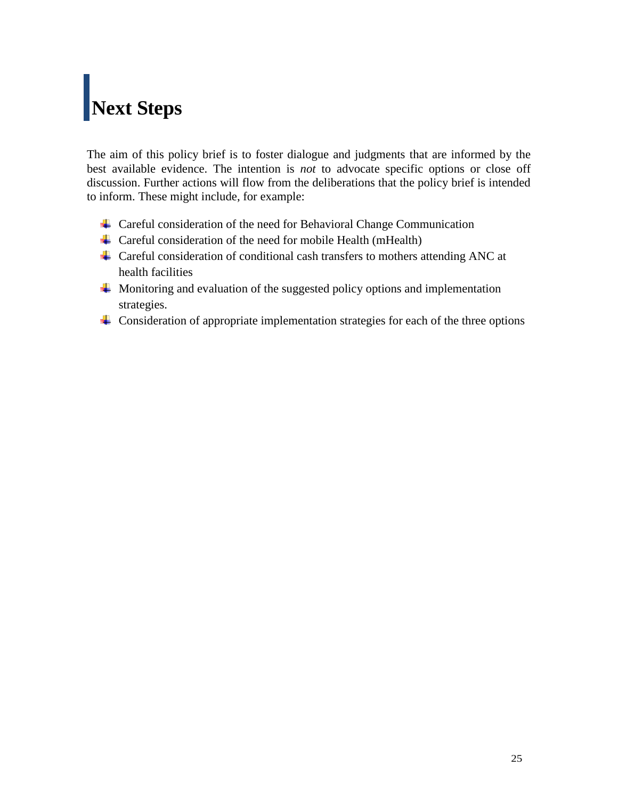# <span id="page-30-0"></span>**Next Steps**

The aim of this policy brief is to foster dialogue and judgments that are informed by the best available evidence. The intention is *not* to advocate specific options or close off discussion. Further actions will flow from the deliberations that the policy brief is intended to inform. These might include, for example:

- ↓ Careful consideration of the need for Behavioral Change Communication
- $\triangleq$  Careful consideration of the need for mobile Health (mHealth)
- Careful consideration of conditional cash transfers to mothers attending ANC at health facilities
- $\overline{\text{4}}$  Monitoring and evaluation of the suggested policy options and implementation strategies.
- $\overline{\phantom{a}}$  Consideration of appropriate implementation strategies for each of the three options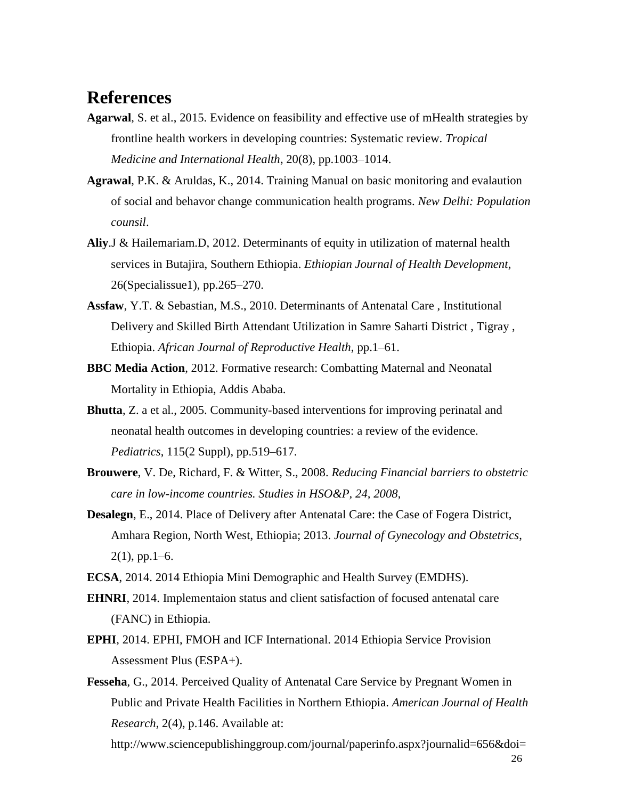# <span id="page-31-0"></span>**References**

- **Agarwal**, S. et al., 2015. Evidence on feasibility and effective use of mHealth strategies by frontline health workers in developing countries: Systematic review. *Tropical Medicine and International Health*, 20(8), pp.1003–1014.
- **Agrawal**, P.K. & Aruldas, K., 2014. Training Manual on basic monitoring and evalaution of social and behavor change communication health programs. *New Delhi: Population counsil*.
- **Aliy**.J & Hailemariam.D, 2012. Determinants of equity in utilization of maternal health services in Butajira, Southern Ethiopia. *Ethiopian Journal of Health Development*, 26(Specialissue1), pp.265–270.
- **Assfaw**, Y.T. & Sebastian, M.S., 2010. Determinants of Antenatal Care , Institutional Delivery and Skilled Birth Attendant Utilization in Samre Saharti District , Tigray , Ethiopia. *African Journal of Reproductive Health*, pp.1–61.
- **BBC Media Action**, 2012. Formative research: Combatting Maternal and Neonatal Mortality in Ethiopia, Addis Ababa.
- **Bhutta**, Z. a et al., 2005. Community-based interventions for improving perinatal and neonatal health outcomes in developing countries: a review of the evidence. *Pediatrics*, 115(2 Suppl), pp.519–617.
- **Brouwere**, V. De, Richard, F. & Witter, S., 2008. *Reducing Financial barriers to obstetric care in low-income countries. Studies in HSO&P, 24, 2008*,
- **Desalegn**, E., 2014. Place of Delivery after Antenatal Care: the Case of Fogera District, Amhara Region, North West, Ethiopia; 2013. *Journal of Gynecology and Obstetrics*,  $2(1)$ , pp. 1–6.
- **ECSA**, 2014. 2014 Ethiopia Mini Demographic and Health Survey (EMDHS).
- **EHNRI**, 2014. Implementaion status and client satisfaction of focused antenatal care (FANC) in Ethiopia.
- **EPHI**, 2014. EPHI, FMOH and ICF International. 2014 Ethiopia Service Provision Assessment Plus (ESPA+).
- **Fesseha**, G., 2014. Perceived Quality of Antenatal Care Service by Pregnant Women in Public and Private Health Facilities in Northern Ethiopia. *American Journal of Health Research*, 2(4), p.146. Available at:

http://www.sciencepublishinggroup.com/journal/paperinfo.aspx?journalid=656&doi=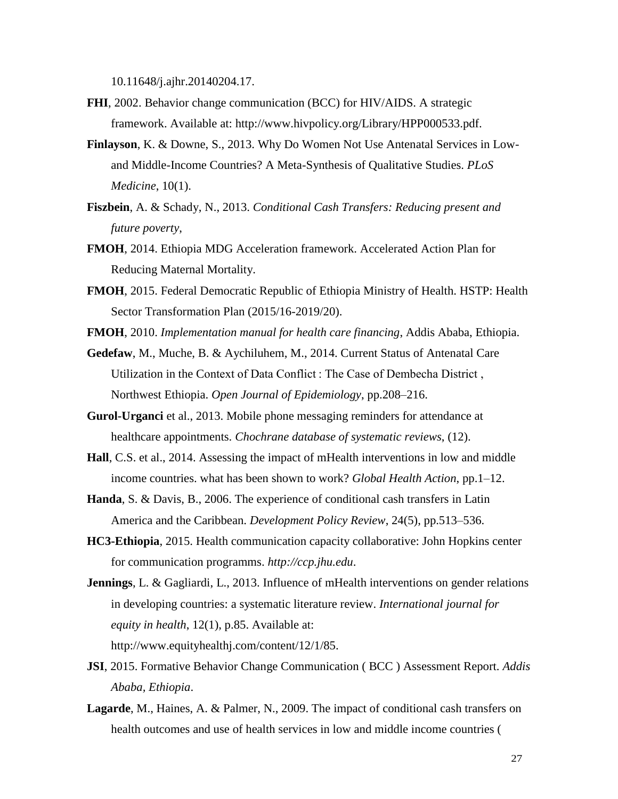10.11648/j.ajhr.20140204.17.

- **FHI**, 2002. Behavior change communication (BCC) for HIV/AIDS. A strategic framework. Available at: http://www.hivpolicy.org/Library/HPP000533.pdf.
- **Finlayson**, K. & Downe, S., 2013. Why Do Women Not Use Antenatal Services in Lowand Middle-Income Countries? A Meta-Synthesis of Qualitative Studies. *PLoS Medicine*, 10(1).
- **Fiszbein**, A. & Schady, N., 2013. *Conditional Cash Transfers: Reducing present and future poverty*,
- **FMOH**, 2014. Ethiopia MDG Acceleration framework. Accelerated Action Plan for Reducing Maternal Mortality.
- **FMOH**, 2015. Federal Democratic Republic of Ethiopia Ministry of Health. HSTP: Health Sector Transformation Plan (2015/16-2019/20).
- **FMOH**, 2010. *Implementation manual for health care financing*, Addis Ababa, Ethiopia.
- **Gedefaw**, M., Muche, B. & Aychiluhem, M., 2014. Current Status of Antenatal Care Utilization in the Context of Data Conflict : The Case of Dembecha District , Northwest Ethiopia. *Open Journal of Epidemiology*, pp.208–216.
- **Gurol-Urganci** et al., 2013. Mobile phone messaging reminders for attendance at healthcare appointments. *Chochrane database of systematic reviews*, (12).
- **Hall**, C.S. et al., 2014. Assessing the impact of mHealth interventions in low and middle income countries. what has been shown to work? *Global Health Action*, pp.1–12.
- **Handa**, S. & Davis, B., 2006. The experience of conditional cash transfers in Latin America and the Caribbean. *Development Policy Review*, 24(5), pp.513–536.
- **HC3-Ethiopia**, 2015. Health communication capacity collaborative: John Hopkins center for communication programms. *http://ccp.jhu.edu*.
- **Jennings**, L. & Gagliardi, L., 2013. Influence of mHealth interventions on gender relations in developing countries: a systematic literature review. *International journal for equity in health*, 12(1), p.85. Available at: http://www.equityhealthj.com/content/12/1/85.
- **JSI**, 2015. Formative Behavior Change Communication ( BCC ) Assessment Report. *Addis Ababa, Ethiopia*.
- **Lagarde**, M., Haines, A. & Palmer, N., 2009. The impact of conditional cash transfers on health outcomes and use of health services in low and middle income countries (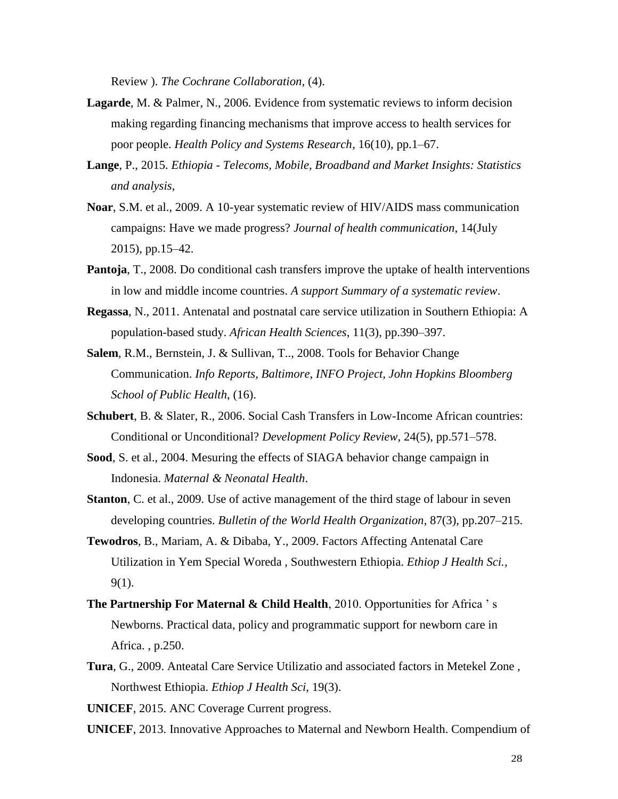Review ). *The Cochrane Collaboration*, (4).

- **Lagarde**, M. & Palmer, N., 2006. Evidence from systematic reviews to inform decision making regarding financing mechanisms that improve access to health services for poor people. *Health Policy and Systems Research*, 16(10), pp.1–67.
- **Lange**, P., 2015. *Ethiopia - Telecoms, Mobile, Broadband and Market Insights: Statistics and analysis*,
- **Noar**, S.M. et al., 2009. A 10-year systematic review of HIV/AIDS mass communication campaigns: Have we made progress? *Journal of health communication*, 14(July 2015), pp.15–42.
- **Pantoja**, T., 2008. Do conditional cash transfers improve the uptake of health interventions in low and middle income countries. *A support Summary of a systematic review*.
- **Regassa**, N., 2011. Antenatal and postnatal care service utilization in Southern Ethiopia: A population-based study. *African Health Sciences*, 11(3), pp.390–397.
- **Salem**, R.M., Bernstein, J. & Sullivan, T.., 2008. Tools for Behavior Change Communication. *Info Reports, Baltimore, INFO Project, John Hopkins Bloomberg School of Public Health*, (16).
- **Schubert**, B. & Slater, R., 2006. Social Cash Transfers in Low-Income African countries: Conditional or Unconditional? *Development Policy Review*, 24(5), pp.571–578.
- **Sood**, S. et al., 2004. Mesuring the effects of SIAGA behavior change campaign in Indonesia. *Maternal & Neonatal Health*.
- **Stanton**, C. et al., 2009. Use of active management of the third stage of labour in seven developing countries. *Bulletin of the World Health Organization*, 87(3), pp.207–215.
- **Tewodros**, B., Mariam, A. & Dibaba, Y., 2009. Factors Affecting Antenatal Care Utilization in Yem Special Woreda , Southwestern Ethiopia. *Ethiop J Health Sci.*, 9(1).
- **The Partnership For Maternal & Child Health**, 2010. Opportunities for Africa ' s Newborns. Practical data, policy and programmatic support for newborn care in Africa. , p.250.
- **Tura**, G., 2009. Anteatal Care Service Utilizatio and associated factors in Metekel Zone , Northwest Ethiopia. *Ethiop J Health Sci*, 19(3).

**UNICEF**, 2015. ANC Coverage Current progress.

**UNICEF**, 2013. Innovative Approaches to Maternal and Newborn Health. Compendium of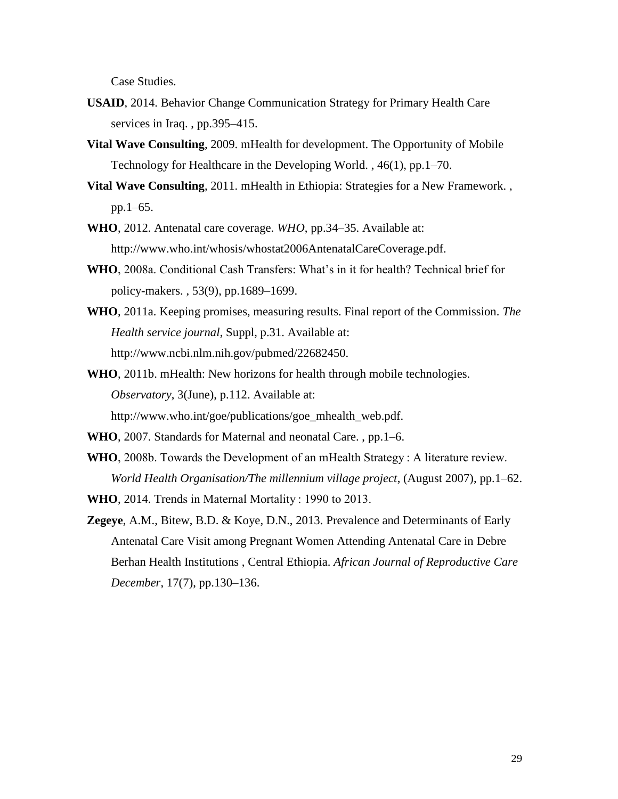Case Studies.

- **USAID**, 2014. Behavior Change Communication Strategy for Primary Health Care services in Iraq. , pp.395–415.
- **Vital Wave Consulting**, 2009. mHealth for development. The Opportunity of Mobile Technology for Healthcare in the Developing World. , 46(1), pp.1–70.
- **Vital Wave Consulting**, 2011. mHealth in Ethiopia: Strategies for a New Framework. , pp.1–65.
- **WHO**, 2012. Antenatal care coverage. *WHO*, pp.34–35. Available at: http://www.who.int/whosis/whostat2006AntenatalCareCoverage.pdf.
- **WHO**, 2008a. Conditional Cash Transfers: What's in it for health? Technical brief for policy-makers. , 53(9), pp.1689–1699.
- **WHO**, 2011a. Keeping promises, measuring results. Final report of the Commission. *The Health service journal*, Suppl, p.31. Available at: http://www.ncbi.nlm.nih.gov/pubmed/22682450.
- **WHO**, 2011b. mHealth: New horizons for health through mobile technologies. *Observatory*, 3(June), p.112. Available at: http://www.who.int/goe/publications/goe\_mhealth\_web.pdf.
- **WHO**, 2007. Standards for Maternal and neonatal Care. , pp.1–6.
- **WHO**, 2008b. Towards the Development of an mHealth Strategy : A literature review.

*World Health Organisation/The millennium village project*, (August 2007), pp.1–62. **WHO**, 2014. Trends in Maternal Mortality : 1990 to 2013.

**Zegeye**, A.M., Bitew, B.D. & Koye, D.N., 2013. Prevalence and Determinants of Early Antenatal Care Visit among Pregnant Women Attending Antenatal Care in Debre Berhan Health Institutions , Central Ethiopia. *African Journal of Reproductive Care December*, 17(7), pp.130–136.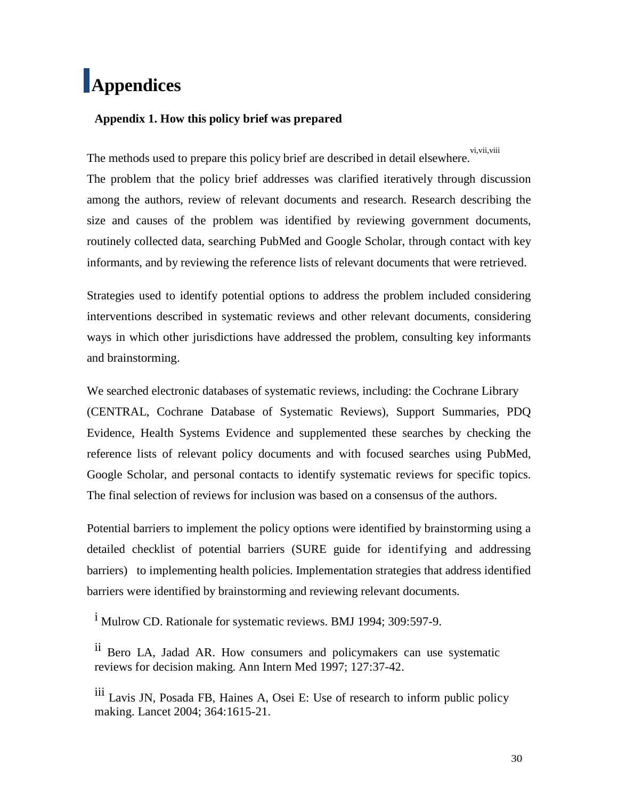# <span id="page-35-0"></span>**Appendices**

#### **Appendix 1. How this policy brief was prepared**

The methods used to prepare this policy brief are described in detail elsewhere. vi,vii,viii The problem that the policy brief addresses was clarified iteratively through discussion among the authors, review of relevant documents and research. Research describing the size and causes of the problem was identified by reviewing government documents, routinely collected data, searching PubMed and Google Scholar, through contact with key informants, and by reviewing the reference lists of relevant documents that were retrieved.

Strategies used to identify potential options to address the problem included considering interventions described in systematic reviews and other relevant documents, considering ways in which other jurisdictions have addressed the problem, consulting key informants and brainstorming.

We searched electronic databases of systematic reviews, including: the Cochrane Library (CENTRAL, Cochrane Database of Systematic Reviews), Support Summaries, PDQ Evidence, Health Systems Evidence and supplemented these searches by checking the reference lists of relevant policy documents and with focused searches using PubMed, Google Scholar, and personal contacts to identify systematic reviews for specific topics. The final selection of reviews for inclusion was based on a consensus of the authors.

Potential barriers to implement the policy options were identified by brainstorming using a detailed checklist of potential barriers (SURE guide for identifying and addressing barriers) to implementing health policies. Implementation strategies that address identified barriers were identified by brainstorming and reviewing relevant documents.

i Mulrow CD. Rationale for systematic reviews. BMJ 1994; 309:597-9.

ii Bero LA, Jadad AR. How consumers and policymakers can use systematic reviews for decision making. Ann Intern Med 1997; 127:37-42.

iii Lavis JN, Posada FB, Haines A, Osei E: Use of research to inform public policy making. Lancet 2004; 364:1615-21.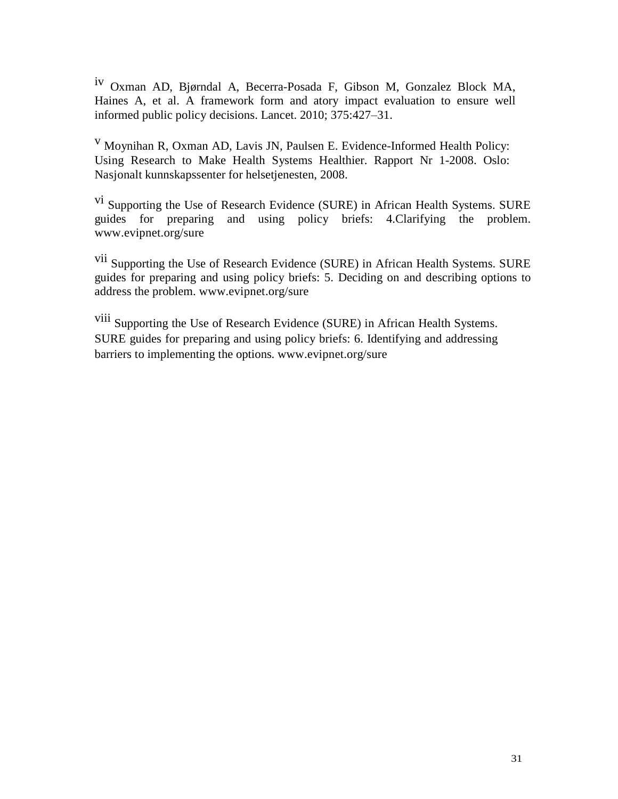iv Oxman AD, Bjørndal A, Becerra-Posada F, Gibson M, Gonzalez Block MA, Haines A, et al. A framework form and atory impact evaluation to ensure well informed public policy decisions. Lancet. 2010; 375:427–31.

<sup>v</sup> Moynihan R, Oxman AD, Lavis JN, Paulsen E. Evidence-Informed Health Policy: Using Research to Make Health Systems Healthier. Rapport Nr 1-2008. Oslo: Nasjonalt kunnskapssenter for helsetjenesten, 2008.

<sup>vi</sup> Supporting the Use of Research Evidence (SURE) in African Health Systems. SURE guides for preparing and using policy briefs: 4.Clarifying the problem. [www.evipnet.org/sure](http://www.evipnet.org/sure)

vii Supporting the Use of Research Evidence (SURE) in African Health Systems. SURE guides for preparing and using policy briefs: 5. Deciding on and describing options to address the problem. [www.evipnet.org/sure](http://www.evipnet.org/sure)

viii Supporting the Use of Research Evidence (SURE) in African Health Systems. SURE guides for preparing and using policy briefs: 6. Identifying and addressing barriers to implementing the options. [www.evipnet.org/sure](http://www.evipnet.org/sure)